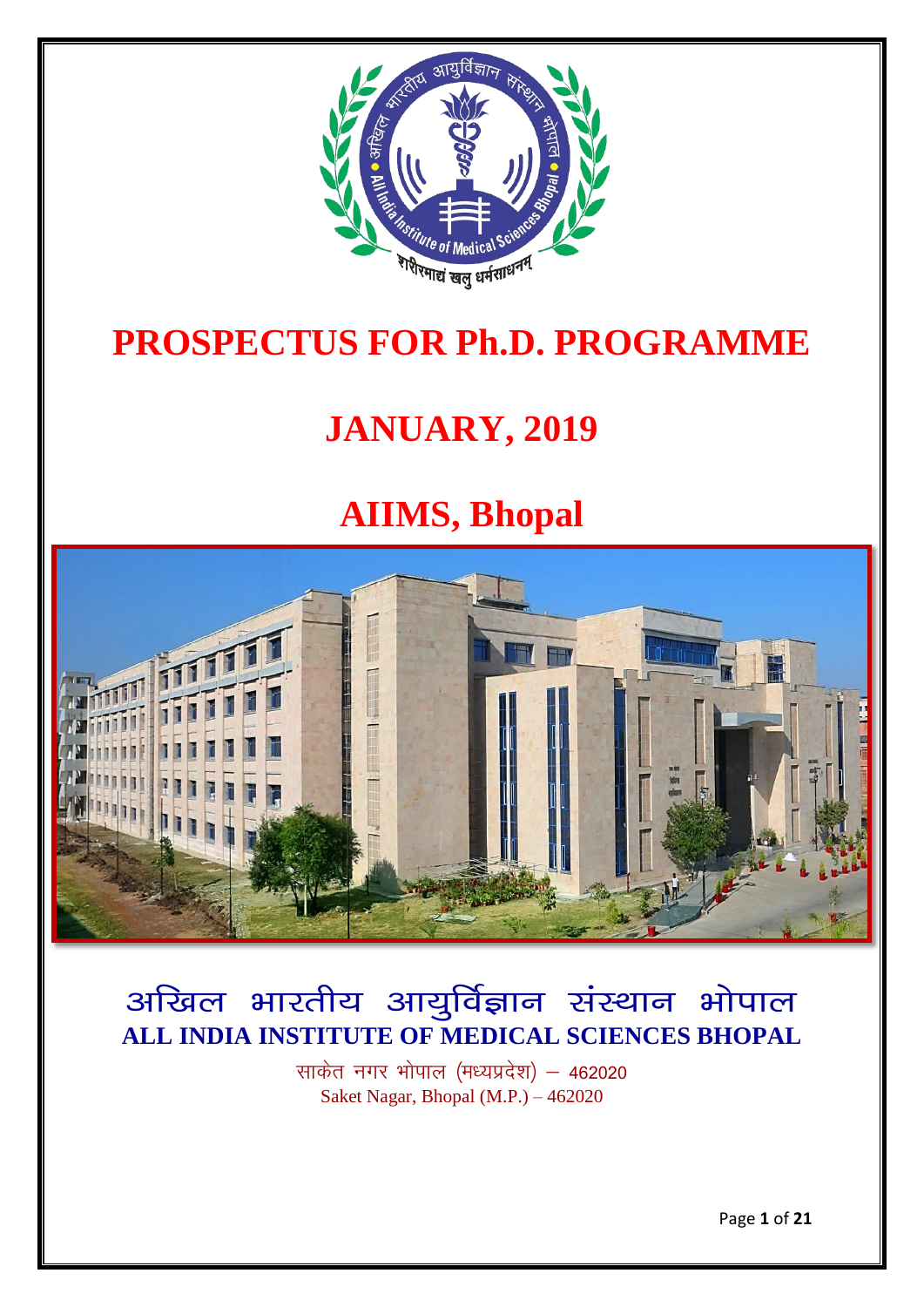

# **PROSPECTUS FOR Ph.D. PROGRAMME**

# **JANUARY, 2019**

# **AIIMS, Bhopal**



# अखिल भारतीय आयुर्विज्ञान संस्थान भोपाल **ALL INDIA INSTITUTE OF MEDICAL SCIENCES BHOPAL**

साकेत नगर भोपाल (मध्यप्रदेश) – 462020 Saket Nagar, Bhopal (M.P.) – 462020

Page **1** of **21**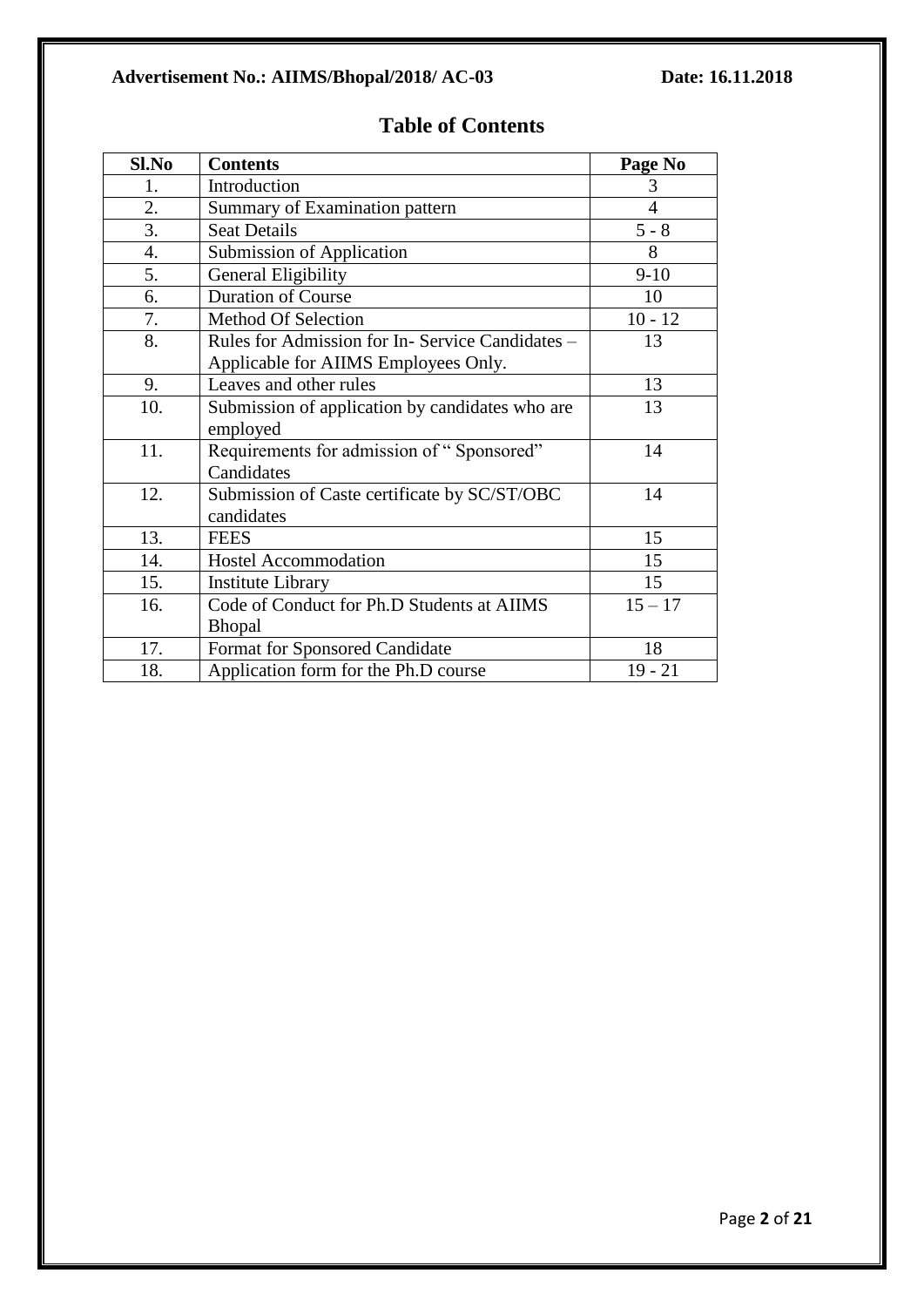# **Advertisement No.: AIIMS/Bhopal/2018/ AC-03 Date: 16.11.2018**

| Sl.No | <b>Contents</b>                                 | Page No        |
|-------|-------------------------------------------------|----------------|
| 1.    | Introduction                                    | 3              |
| 2.    | Summary of Examination pattern                  | $\overline{4}$ |
| 3.    | <b>Seat Details</b>                             | $5 - 8$        |
| 4.    | <b>Submission of Application</b>                | 8              |
| 5.    | <b>General Eligibility</b>                      | $9-10$         |
| 6.    | <b>Duration of Course</b>                       | 10             |
| 7.    | <b>Method Of Selection</b>                      | $10 - 12$      |
| 8.    | Rules for Admission for In-Service Candidates - | 13             |
|       | Applicable for AIIMS Employees Only.            |                |
| 9.    | Leaves and other rules                          | 13             |
| 10.   | Submission of application by candidates who are | 13             |
|       | employed                                        |                |
| 11.   | Requirements for admission of "Sponsored"       | 14             |
|       | Candidates                                      |                |
| 12.   | Submission of Caste certificate by SC/ST/OBC    | 14             |
|       | candidates                                      |                |
| 13.   | <b>FEES</b>                                     | 15             |
| 14.   | <b>Hostel Accommodation</b>                     | 15             |
| 15.   | <b>Institute Library</b>                        | 15             |
| 16.   | Code of Conduct for Ph.D Students at AIIMS      | $15 - 17$      |
|       | <b>Bhopal</b>                                   |                |
| 17.   | Format for Sponsored Candidate                  | 18             |
| 18.   | Application form for the Ph.D course            | $19 - 21$      |

# **Table of Contents**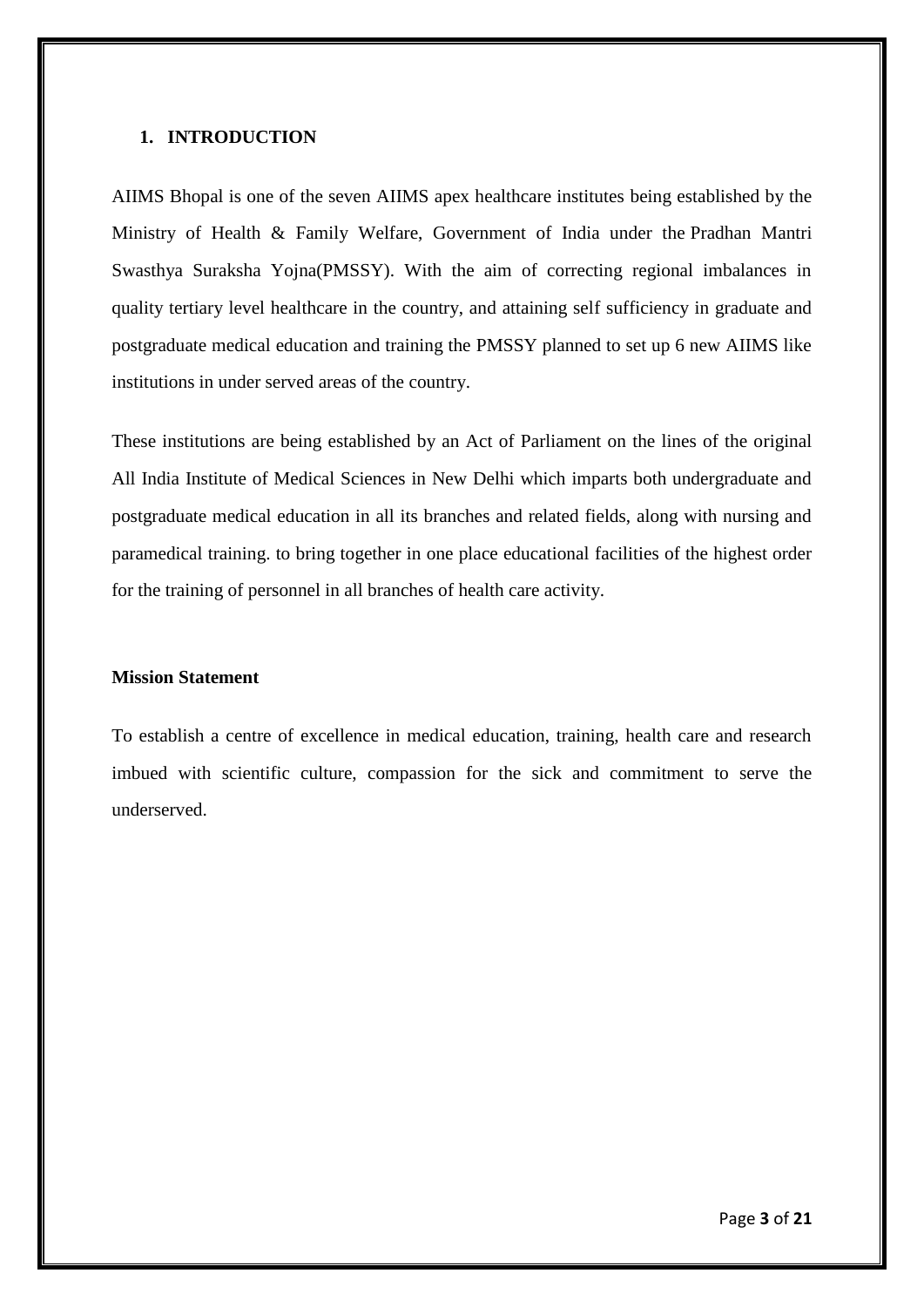#### **1. INTRODUCTION**

AIIMS Bhopal is one of the seven AIIMS apex healthcare institutes being established by the Ministry of Health & Family Welfare, Government of India under the Pradhan Mantri Swasthya Suraksha Yojna(PMSSY). With the aim of correcting regional imbalances in quality tertiary level healthcare in the country, and attaining self sufficiency in graduate and postgraduate medical education and training the PMSSY planned to set up 6 new AIIMS like institutions in under served areas of the country.

These institutions are being established by an Act of Parliament on the lines of the original All India Institute of Medical Sciences in New Delhi which imparts both undergraduate and postgraduate medical education in all its branches and related fields, along with nursing and paramedical training. to bring together in one place educational facilities of the highest order for the training of personnel in all branches of health care activity.

#### **Mission Statement**

To establish a centre of excellence in medical education, training, health care and research imbued with scientific culture, compassion for the sick and commitment to serve the underserved.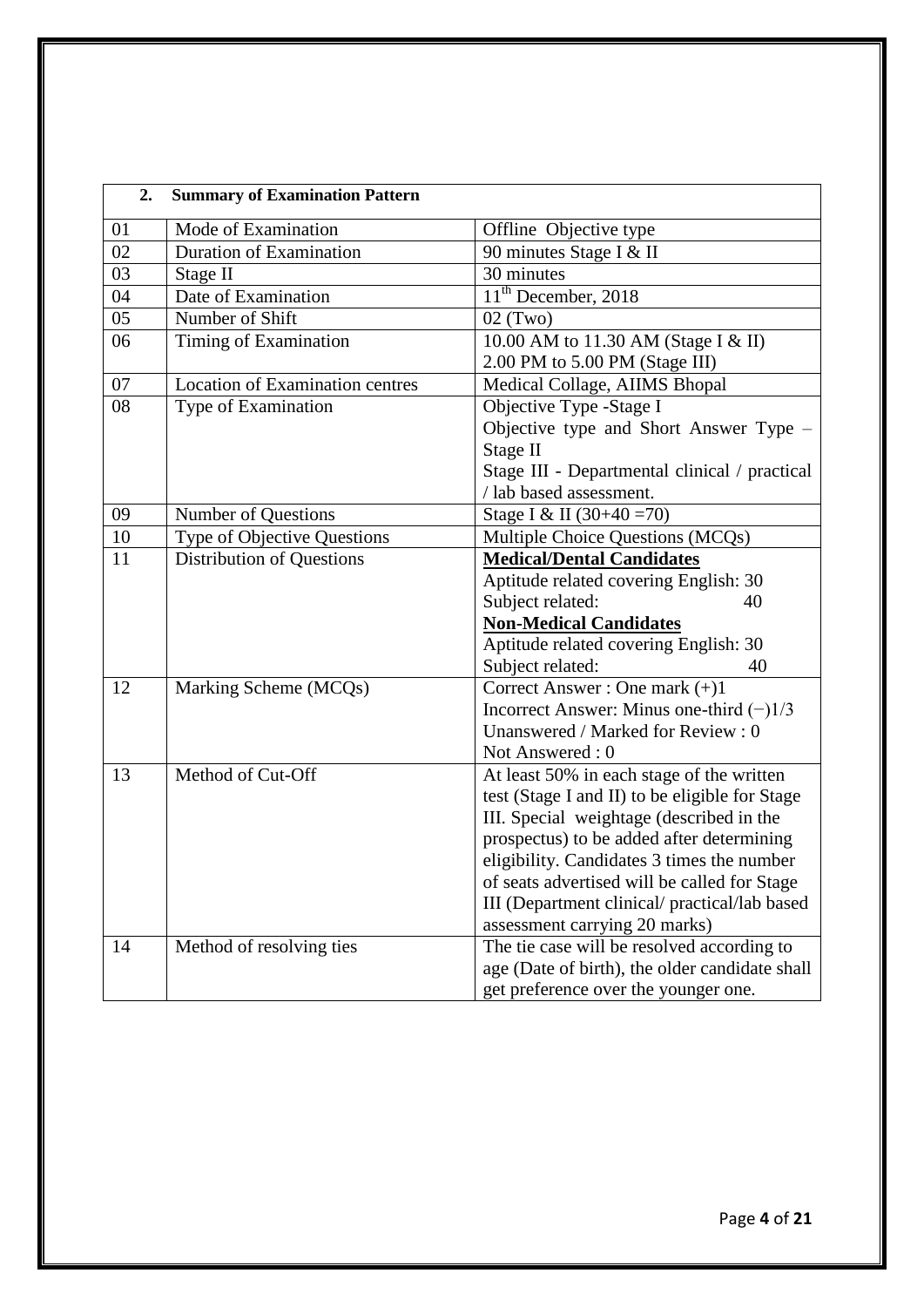| 2. | <b>Summary of Examination Pattern</b>  |                                                |
|----|----------------------------------------|------------------------------------------------|
| 01 | Mode of Examination                    | Offline Objective type                         |
| 02 | <b>Duration of Examination</b>         | 90 minutes Stage I & II                        |
| 03 | Stage II                               | 30 minutes                                     |
| 04 | Date of Examination                    | $\overline{11}^{\text{th}}$ December, 2018     |
| 05 | Number of Shift                        | $02$ (Two)                                     |
| 06 | Timing of Examination                  | 10.00 AM to 11.30 AM (Stage I & II)            |
|    |                                        | 2.00 PM to 5.00 PM (Stage III)                 |
| 07 | <b>Location of Examination centres</b> | Medical Collage, AIIMS Bhopal                  |
| 08 | Type of Examination                    | Objective Type -Stage I                        |
|    |                                        | Objective type and Short Answer Type -         |
|    |                                        | Stage II                                       |
|    |                                        | Stage III - Departmental clinical / practical  |
|    |                                        | / lab based assessment.                        |
| 09 | Number of Questions                    | Stage I & II (30+40 = 70)                      |
| 10 | Type of Objective Questions            | Multiple Choice Questions (MCQs)               |
| 11 | <b>Distribution of Questions</b>       | <b>Medical/Dental Candidates</b>               |
|    |                                        | Aptitude related covering English: 30          |
|    |                                        | Subject related:<br>40                         |
|    |                                        | <b>Non-Medical Candidates</b>                  |
|    |                                        | Aptitude related covering English: 30          |
|    |                                        | Subject related:<br>40                         |
| 12 | Marking Scheme (MCQs)                  | Correct Answer: One mark $(+)1$                |
|    |                                        | Incorrect Answer: Minus one-third $(-)1/3$     |
|    |                                        | Unanswered / Marked for Review : 0             |
|    |                                        | Not Answered: 0                                |
| 13 | Method of Cut-Off                      | At least 50% in each stage of the written      |
|    |                                        | test (Stage I and II) to be eligible for Stage |
|    |                                        | III. Special weightage (described in the       |
|    |                                        | prospectus) to be added after determining      |
|    |                                        | eligibility. Candidates 3 times the number     |
|    |                                        | of seats advertised will be called for Stage   |
|    |                                        | III (Department clinical/ practical/lab based  |
|    |                                        | assessment carrying 20 marks)                  |
| 14 | Method of resolving ties               | The tie case will be resolved according to     |
|    |                                        | age (Date of birth), the older candidate shall |
|    |                                        | get preference over the younger one.           |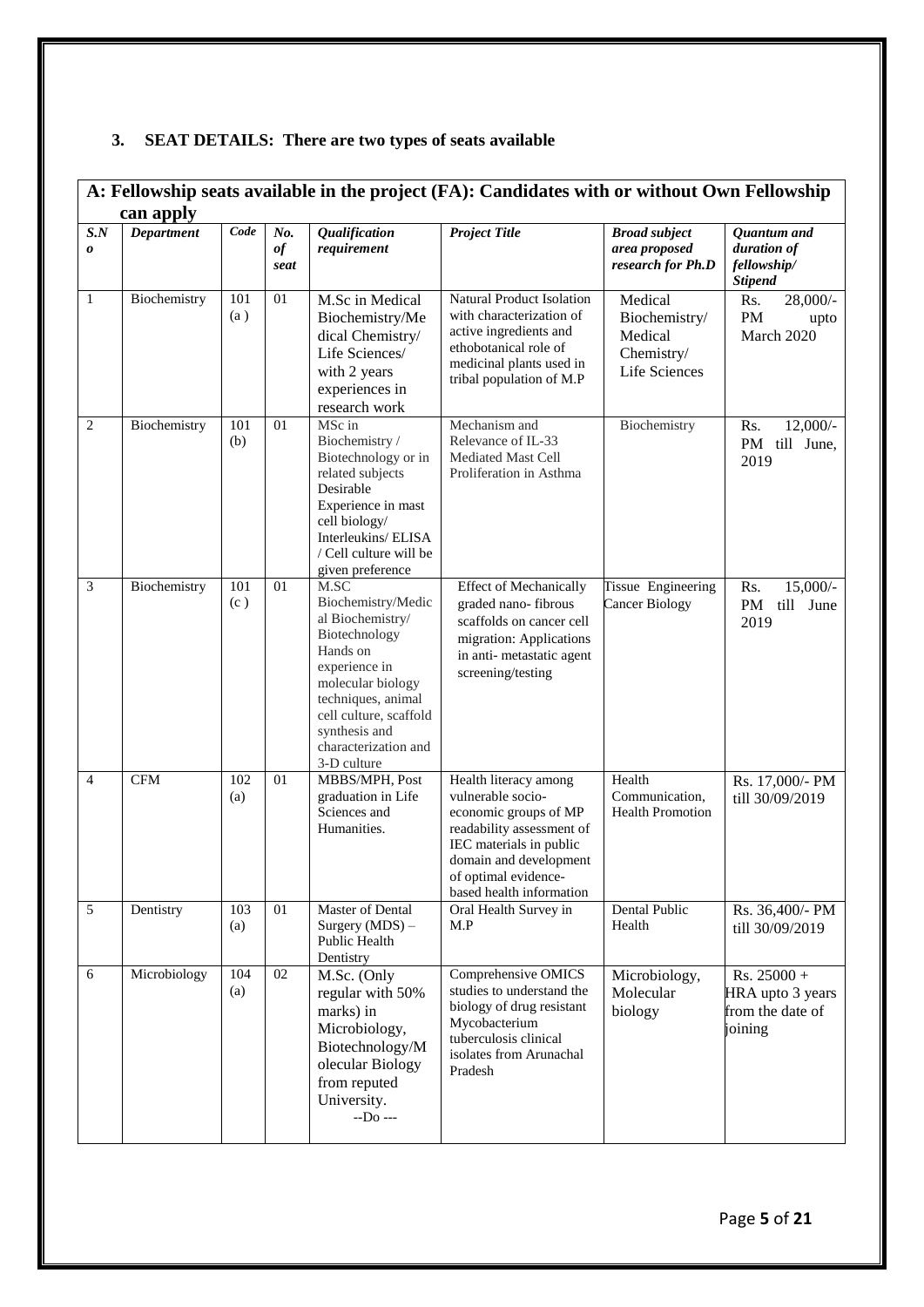# **3. SEAT DETAILS: There are two types of seats available**

|                           | A: Fellowship seats available in the project (FA): Candidates with or without Own Fellowship |            |                   |                                                                                                                                                                                                                           |                                                                                                                                                                                                           |                                                                    |                                                                  |  |
|---------------------------|----------------------------------------------------------------------------------------------|------------|-------------------|---------------------------------------------------------------------------------------------------------------------------------------------------------------------------------------------------------------------------|-----------------------------------------------------------------------------------------------------------------------------------------------------------------------------------------------------------|--------------------------------------------------------------------|------------------------------------------------------------------|--|
|                           | can apply                                                                                    |            |                   |                                                                                                                                                                                                                           |                                                                                                                                                                                                           |                                                                    |                                                                  |  |
| $S.N$<br>$\boldsymbol{o}$ | <b>Department</b>                                                                            | Code       | No.<br>of<br>seat | Qualification<br>requirement                                                                                                                                                                                              | <b>Project Title</b>                                                                                                                                                                                      | <b>Broad subject</b><br>area proposed<br>research for Ph.D         | Quantum and<br>duration of<br>fellowship/<br><b>Stipend</b>      |  |
| $\mathbf{1}$              | Biochemistry                                                                                 | 101<br>(a) | 01                | M.Sc in Medical<br>Biochemistry/Me<br>dical Chemistry/<br>Life Sciences/<br>with 2 years<br>experiences in<br>research work                                                                                               | <b>Natural Product Isolation</b><br>with characterization of<br>active ingredients and<br>ethobotanical role of<br>medicinal plants used in<br>tribal population of M.P                                   | Medical<br>Biochemistry/<br>Medical<br>Chemistry/<br>Life Sciences | $28,000/$ -<br>Rs.<br>PM<br>upto<br>March 2020                   |  |
| $\overline{2}$            | Biochemistry                                                                                 | 101<br>(b) | 01                | MSc in<br>Biochemistry /<br>Biotechnology or in<br>related subjects<br>Desirable<br>Experience in mast<br>cell biology/<br>Interleukins/ELISA<br>/ Cell culture will be<br>given preference                               | Mechanism and<br>Relevance of IL-33<br>Mediated Mast Cell<br>Proliferation in Asthma                                                                                                                      | Biochemistry                                                       | $12,000/-$<br>Rs.<br>PM<br>till June,<br>2019                    |  |
| 3                         | Biochemistry                                                                                 | 101<br>(c) | 01                | M.SC<br>Biochemistry/Medic<br>al Biochemistry/<br>Biotechnology<br>Hands on<br>experience in<br>molecular biology<br>techniques, animal<br>cell culture, scaffold<br>synthesis and<br>characterization and<br>3-D culture | <b>Effect of Mechanically</b><br>graded nano-fibrous<br>scaffolds on cancer cell<br>migration: Applications<br>in anti-metastatic agent<br>screening/testing                                              | Tissue Engineering<br>Cancer Biology                               | Rs.<br>$15,000/-$<br>PM<br>till June<br>2019                     |  |
| $\overline{4}$            | <b>CFM</b>                                                                                   | 102<br>(a) | 01                | MBBS/MPH, Post<br>graduation in Life<br>Sciences and<br>Humanities.                                                                                                                                                       | Health literacy among<br>vulnerable socio-<br>economic groups of MP<br>readability assessment of<br>IEC materials in public<br>domain and development<br>of optimal evidence-<br>based health information | Health<br>Communication,<br><b>Health Promotion</b>                | Rs. 17,000/- PM<br>till 30/09/2019                               |  |
| $\overline{5}$            | Dentistry                                                                                    | 103<br>(a) | 01                | Master of Dental<br>Surgery $(MDS)$ –<br>Public Health<br>Dentistry                                                                                                                                                       | Oral Health Survey in<br>M.P                                                                                                                                                                              | Dental Public<br>Health                                            | Rs. 36,400/- PM<br>till 30/09/2019                               |  |
| 6                         | Microbiology                                                                                 | 104<br>(a) | 02                | M.Sc. (Only<br>regular with 50%<br>marks) in<br>Microbiology,<br>Biotechnology/M<br>olecular Biology<br>from reputed<br>University.<br>$-D0$ ---                                                                          | Comprehensive OMICS<br>studies to understand the<br>biology of drug resistant<br>Mycobacterium<br>tuberculosis clinical<br>isolates from Arunachal<br>Pradesh                                             | Microbiology,<br>Molecular<br>biology                              | $Rs. 25000 +$<br>HRA upto 3 years<br>from the date of<br>joining |  |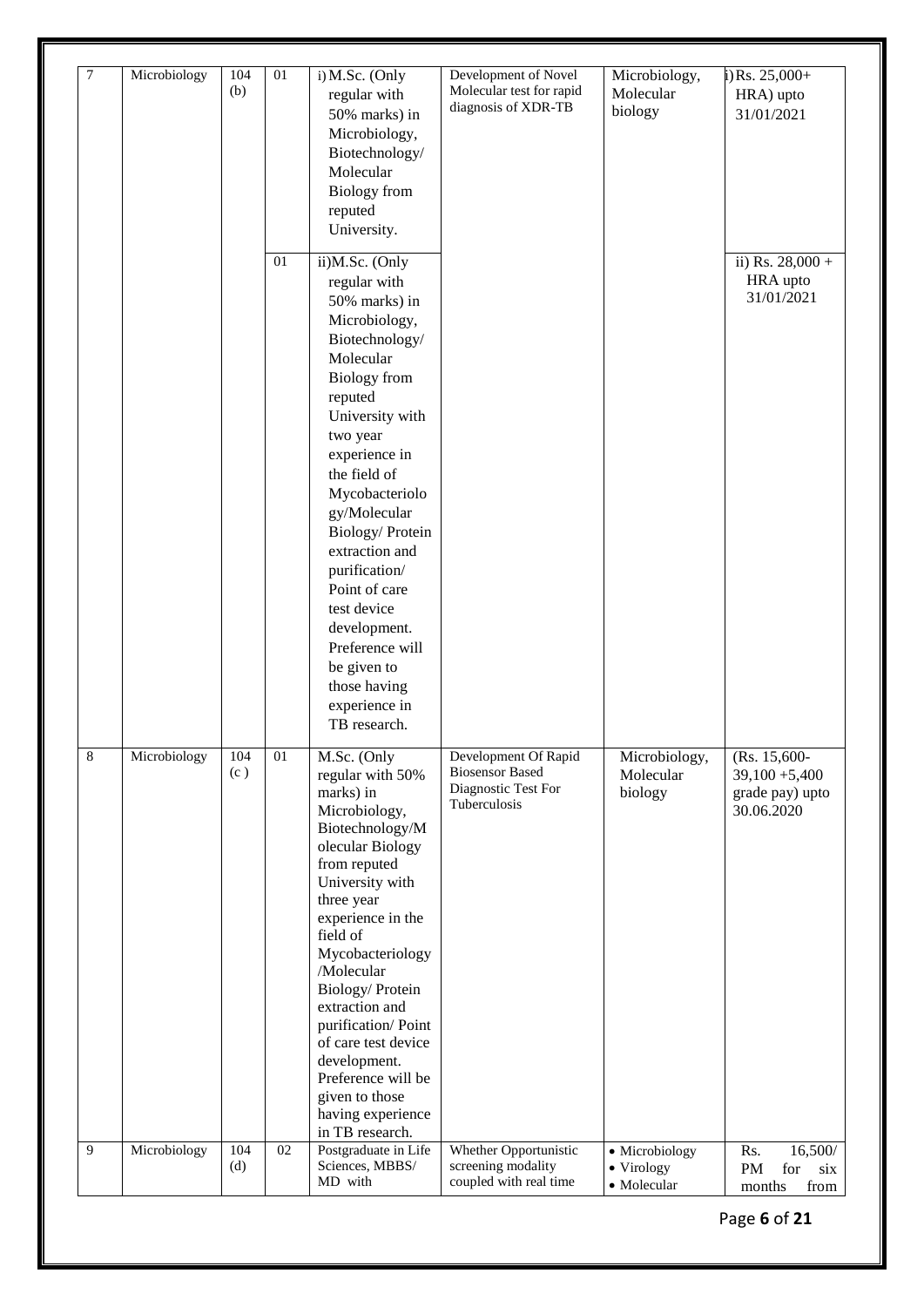| $7\phantom{.0}$ | Microbiology | 104<br>(b) | 01              | i) M.Sc. (Only<br>regular with<br>50% marks) in<br>Microbiology,<br>Biotechnology/<br>Molecular<br><b>Biology</b> from<br>reputed<br>University.                                                                                                                                                                                                                                                                             | Development of Novel<br>Molecular test for rapid<br>diagnosis of XDR-TB               | Microbiology,<br>Molecular<br>biology       | $i)$ Rs. 25,000+<br>HRA) upto<br>31/01/2021                       |
|-----------------|--------------|------------|-----------------|------------------------------------------------------------------------------------------------------------------------------------------------------------------------------------------------------------------------------------------------------------------------------------------------------------------------------------------------------------------------------------------------------------------------------|---------------------------------------------------------------------------------------|---------------------------------------------|-------------------------------------------------------------------|
|                 |              |            | 01              | ii)M.Sc. (Only<br>regular with<br>50% marks) in<br>Microbiology,<br>Biotechnology/<br>Molecular<br><b>Biology</b> from<br>reputed<br>University with<br>two year<br>experience in<br>the field of<br>Mycobacteriolo<br>gy/Molecular<br>Biology/Protein<br>extraction and<br>purification/<br>Point of care<br>test device<br>development.<br>Preference will<br>be given to<br>those having<br>experience in<br>TB research. |                                                                                       |                                             | ii) Rs. $28,000 +$<br>HRA upto<br>31/01/2021                      |
| 8               | Microbiology | 104<br>(c) | 01              | M.Sc. (Only<br>regular with 50%<br>marks) in<br>Microbiology,<br>Biotechnology/M<br>olecular Biology<br>from reputed<br>University with<br>three year<br>experience in the<br>field of<br>Mycobacteriology<br>/Molecular<br>Biology/Protein<br>extraction and<br>purification/Point<br>of care test device<br>development.<br>Preference will be<br>given to those<br>having experience<br>in TB research.                   | Development Of Rapid<br><b>Biosensor Based</b><br>Diagnostic Test For<br>Tuberculosis | Microbiology,<br>Molecular<br>biology       | (Rs. 15,600-<br>$39,100 + 5,400$<br>grade pay) upto<br>30.06.2020 |
| 9               | Microbiology | 104<br>(d) | $\overline{02}$ | Postgraduate in Life<br>Sciences, MBBS/<br>MD with                                                                                                                                                                                                                                                                                                                                                                           | Whether Opportunistic<br>screening modality<br>coupled with real time                 | · Microbiology<br>• Virology<br>• Molecular | Rs.<br>16,500/<br>PM<br>for<br>six<br>from<br>months              |

Page **6** of **21**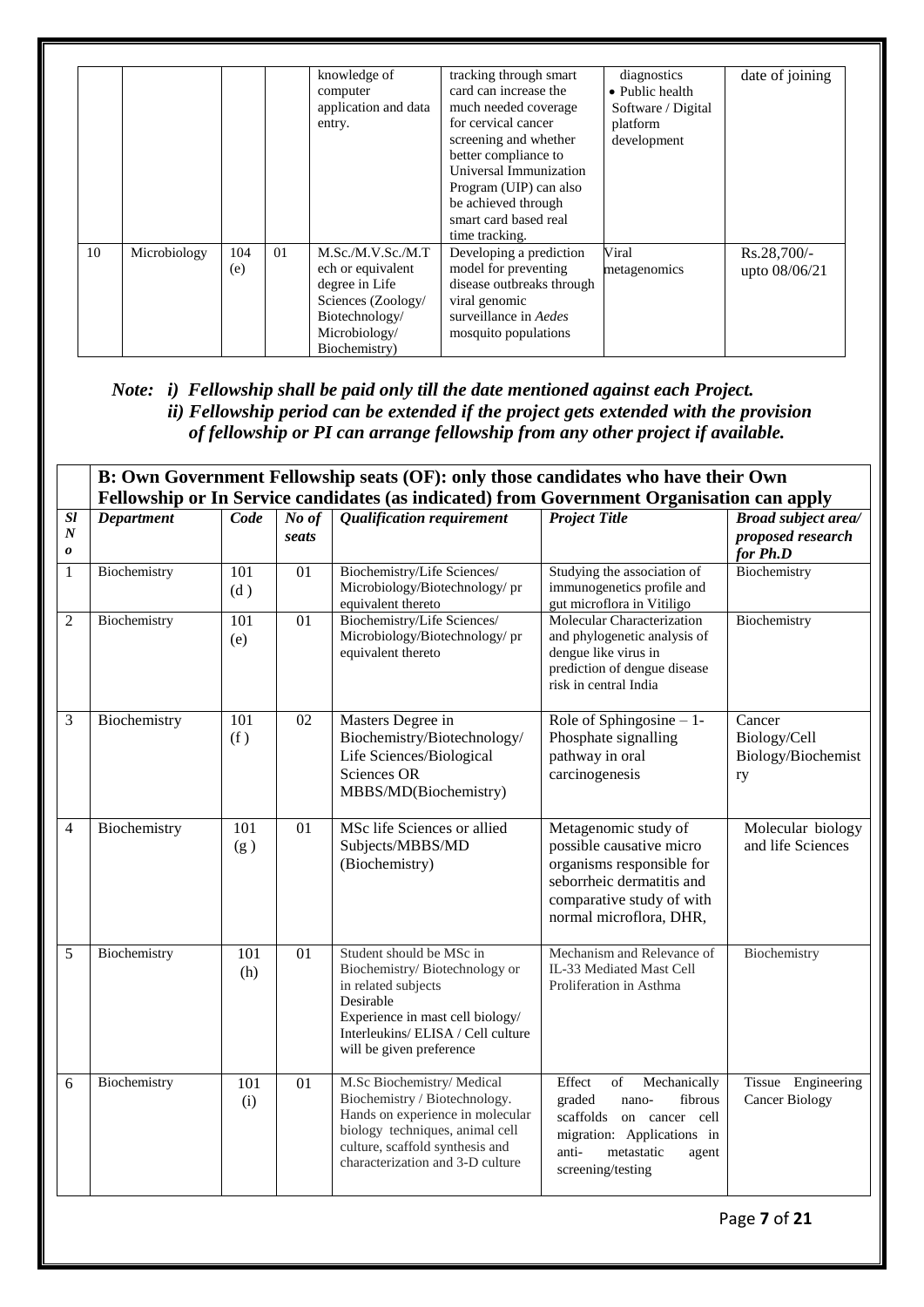|    |              |            |    | knowledge of<br>computer<br>application and data<br>entry.                                                                         | tracking through smart<br>card can increase the<br>much needed coverage<br>for cervical cancer<br>screening and whether<br>better compliance to<br>Universal Immunization<br>Program (UIP) can also<br>be achieved through<br>smart card based real<br>time tracking. | diagnostics<br>• Public health<br>Software / Digital<br>platform<br>development | date of joining                |
|----|--------------|------------|----|------------------------------------------------------------------------------------------------------------------------------------|-----------------------------------------------------------------------------------------------------------------------------------------------------------------------------------------------------------------------------------------------------------------------|---------------------------------------------------------------------------------|--------------------------------|
| 10 | Microbiology | 104<br>(e) | 01 | M.Sc./M.V.Sc./M.T<br>ech or equivalent<br>degree in Life<br>Sciences (Zoology/<br>Biotechnology/<br>Microbiology/<br>Biochemistry) | Developing a prediction<br>model for preventing<br>disease outbreaks through<br>viral genomic<br>surveillance in Aedes<br>mosquito populations                                                                                                                        | Viral<br>metagenomics                                                           | $Rs.28,700/-$<br>upto 08/06/21 |

# *Note: i) Fellowship shall be paid only till the date mentioned against each Project. ii) Fellowship period can be extended if the project gets extended with the provision of fellowship or PI can arrange fellowship from any other project if available.*

|                                          | B: Own Government Fellowship seats (OF): only those candidates who have their Own<br>Fellowship or In Service candidates (as indicated) from Government Organisation can apply |                         |                 |                                                                                                                                                                                                           |                                                                                                                                                                           |                                                             |  |
|------------------------------------------|--------------------------------------------------------------------------------------------------------------------------------------------------------------------------------|-------------------------|-----------------|-----------------------------------------------------------------------------------------------------------------------------------------------------------------------------------------------------------|---------------------------------------------------------------------------------------------------------------------------------------------------------------------------|-------------------------------------------------------------|--|
| $\overline{sl}$<br>$\boldsymbol{N}$<br>0 | <b>Department</b>                                                                                                                                                              | Code                    | No of<br>seats  | <b>Qualification requirement</b>                                                                                                                                                                          | <b>Project Title</b>                                                                                                                                                      | <b>Broad subject area/</b><br>proposed research<br>for Ph.D |  |
| $\mathbf{1}$                             | Biochemistry                                                                                                                                                                   | 101<br>(d)              | 01              | Biochemistry/Life Sciences/<br>Microbiology/Biotechnology/pr<br>equivalent thereto                                                                                                                        | Studying the association of<br>immunogenetics profile and<br>gut microflora in Vitiligo                                                                                   | Biochemistry                                                |  |
| $\overline{2}$                           | Biochemistry                                                                                                                                                                   | 101<br>(e)              | 01              | Biochemistry/Life Sciences/<br>Microbiology/Biotechnology/pr<br>equivalent thereto                                                                                                                        | Molecular Characterization<br>and phylogenetic analysis of<br>dengue like virus in<br>prediction of dengue disease<br>risk in central India                               | Biochemistry                                                |  |
| 3                                        | Biochemistry                                                                                                                                                                   | $\overline{101}$<br>(f) | $\overline{02}$ | Masters Degree in<br>Biochemistry/Biotechnology/<br>Life Sciences/Biological<br><b>Sciences OR</b><br>MBBS/MD(Biochemistry)                                                                               | Role of Sphingosine $-1$ -<br>Phosphate signalling<br>pathway in oral<br>carcinogenesis                                                                                   | Cancer<br>Biology/Cell<br>Biology/Biochemist<br>ry          |  |
| $\overline{4}$                           | Biochemistry                                                                                                                                                                   | 101<br>(g)              | 01              | MSc life Sciences or allied<br>Subjects/MBBS/MD<br>(Biochemistry)                                                                                                                                         | Metagenomic study of<br>possible causative micro<br>organisms responsible for<br>seborrheic dermatitis and<br>comparative study of with<br>normal microflora, DHR,        | Molecular biology<br>and life Sciences                      |  |
| 5                                        | Biochemistry                                                                                                                                                                   | 101<br>(h)              | 01              | Student should be MSc in<br>Biochemistry/Biotechnology or<br>in related subjects<br>Desirable<br>Experience in mast cell biology/<br>Interleukins/ELISA / Cell culture<br>will be given preference        | Mechanism and Relevance of<br>IL-33 Mediated Mast Cell<br>Proliferation in Asthma                                                                                         | Biochemistry                                                |  |
| 6                                        | Biochemistry                                                                                                                                                                   | 101<br>(i)              | 01              | M.Sc Biochemistry/ Medical<br>Biochemistry / Biotechnology.<br>Hands on experience in molecular<br>biology techniques, animal cell<br>culture, scaffold synthesis and<br>characterization and 3-D culture | Effect<br>of<br>Mechanically<br>fibrous<br>graded<br>nano-<br>scaffolds on cancer cell<br>migration: Applications in<br>anti-<br>metastatic<br>agent<br>screening/testing | Tissue Engineering<br><b>Cancer Biology</b>                 |  |
|                                          | Page 7 of 21                                                                                                                                                                   |                         |                 |                                                                                                                                                                                                           |                                                                                                                                                                           |                                                             |  |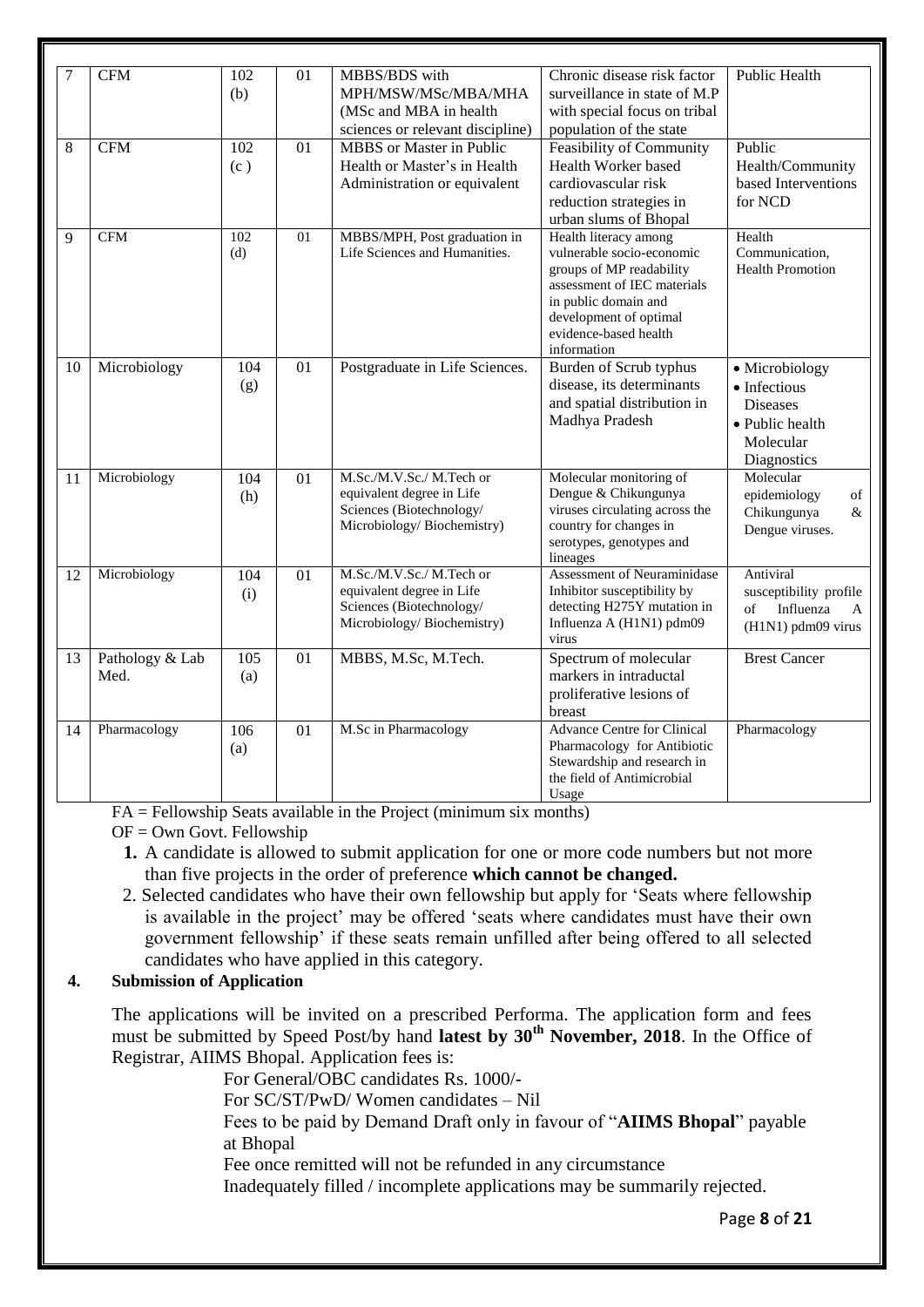| 7  | <b>CFM</b>      | 102 | 01              | MBBS/BDS with                    | Chronic disease risk factor                         | <b>Public Health</b>            |
|----|-----------------|-----|-----------------|----------------------------------|-----------------------------------------------------|---------------------------------|
|    |                 | (b) |                 | MPH/MSW/MSc/MBA/MHA              | surveillance in state of M.P                        |                                 |
|    |                 |     |                 | (MSc and MBA in health           | with special focus on tribal                        |                                 |
|    |                 |     |                 |                                  |                                                     |                                 |
|    |                 |     |                 | sciences or relevant discipline) | population of the state                             |                                 |
| 8  | <b>CFM</b>      | 102 | 01              | MBBS or Master in Public         | Feasibility of Community                            | Public                          |
|    |                 | (c) |                 | Health or Master's in Health     | Health Worker based                                 | Health/Community                |
|    |                 |     |                 | Administration or equivalent     | cardiovascular risk                                 | based Interventions             |
|    |                 |     |                 |                                  | reduction strategies in                             | for NCD                         |
|    |                 |     |                 |                                  | urban slums of Bhopal                               |                                 |
| 9  | <b>CFM</b>      | 102 | 01              | MBBS/MPH, Post graduation in     | Health literacy among                               | Health                          |
|    |                 | (d) |                 | Life Sciences and Humanities.    | vulnerable socio-economic                           | Communication,                  |
|    |                 |     |                 |                                  | groups of MP readability                            | <b>Health Promotion</b>         |
|    |                 |     |                 |                                  | assessment of IEC materials<br>in public domain and |                                 |
|    |                 |     |                 |                                  | development of optimal                              |                                 |
|    |                 |     |                 |                                  | evidence-based health                               |                                 |
|    |                 |     |                 |                                  | information                                         |                                 |
| 10 | Microbiology    | 104 | 01              | Postgraduate in Life Sciences.   | Burden of Scrub typhus                              | • Microbiology                  |
|    |                 | (g) |                 |                                  | disease, its determinants                           | • Infectious                    |
|    |                 |     |                 |                                  | and spatial distribution in                         | <b>Diseases</b>                 |
|    |                 |     |                 |                                  | Madhya Pradesh                                      | • Public health                 |
|    |                 |     |                 |                                  |                                                     | Molecular                       |
|    |                 |     |                 |                                  |                                                     | Diagnostics                     |
| 11 | Microbiology    | 104 | $\overline{01}$ | M.Sc./M.V.Sc./ M.Tech or         | Molecular monitoring of                             | Molecular                       |
|    |                 | (h) |                 | equivalent degree in Life        | Dengue & Chikungunya                                | epidemiology<br>of              |
|    |                 |     |                 | Sciences (Biotechnology/         | viruses circulating across the                      | Chikungunya<br>&                |
|    |                 |     |                 | Microbiology/Biochemistry)       | country for changes in                              | Dengue viruses.                 |
|    |                 |     |                 |                                  | serotypes, genotypes and                            |                                 |
|    |                 |     |                 |                                  | lineages                                            |                                 |
| 12 | Microbiology    | 104 | 01              | M.Sc./M.V.Sc./ M.Tech or         | Assessment of Neuraminidase                         | Antiviral                       |
|    |                 | (i) |                 | equivalent degree in Life        | Inhibitor susceptibility by                         | susceptibility profile          |
|    |                 |     |                 | Sciences (Biotechnology/         | detecting H275Y mutation in                         | of<br>Influenza<br>$\mathbf{A}$ |
|    |                 |     |                 | Microbiology/Biochemistry)       | Influenza A (H1N1) pdm09                            | (H1N1) pdm09 virus              |
|    |                 |     |                 |                                  | virus                                               |                                 |
| 13 | Pathology & Lab | 105 | 01              | MBBS, M.Sc, M.Tech.              | Spectrum of molecular                               | <b>Brest Cancer</b>             |
|    | Med.            | (a) |                 |                                  | markers in intraductal                              |                                 |
|    |                 |     |                 |                                  | proliferative lesions of                            |                                 |
|    |                 |     |                 |                                  | breast                                              |                                 |
| 14 | Pharmacology    | 106 | 01              | M.Sc in Pharmacology             | <b>Advance Centre for Clinical</b>                  | Pharmacology                    |
|    |                 | (a) |                 |                                  | Pharmacology for Antibiotic                         |                                 |
|    |                 |     |                 |                                  | Stewardship and research in                         |                                 |
|    |                 |     |                 |                                  | the field of Antimicrobial                          |                                 |
|    |                 |     |                 |                                  | Usage                                               |                                 |

FA = Fellowship Seats available in the Project (minimum six months)

 $OF = Own$  Govt. Fellowship

- **1.** A candidate is allowed to submit application for one or more code numbers but not more than five projects in the order of preference **which cannot be changed.**
- 2. Selected candidates who have their own fellowship but apply for 'Seats where fellowship is available in the project' may be offered 'seats where candidates must have their own government fellowship' if these seats remain unfilled after being offered to all selected candidates who have applied in this category.

# **4. Submission of Application**

The applications will be invited on a prescribed Performa. The application form and fees must be submitted by Speed Post/by hand **latest by 30th November, 2018**. In the Office of Registrar, AIIMS Bhopal. Application fees is:

For General/OBC candidates Rs. 1000/-

For SC/ST/PwD/ Women candidates – Nil

Fees to be paid by Demand Draft only in favour of "**AIIMS Bhopal**" payable at Bhopal

Fee once remitted will not be refunded in any circumstance

Inadequately filled / incomplete applications may be summarily rejected.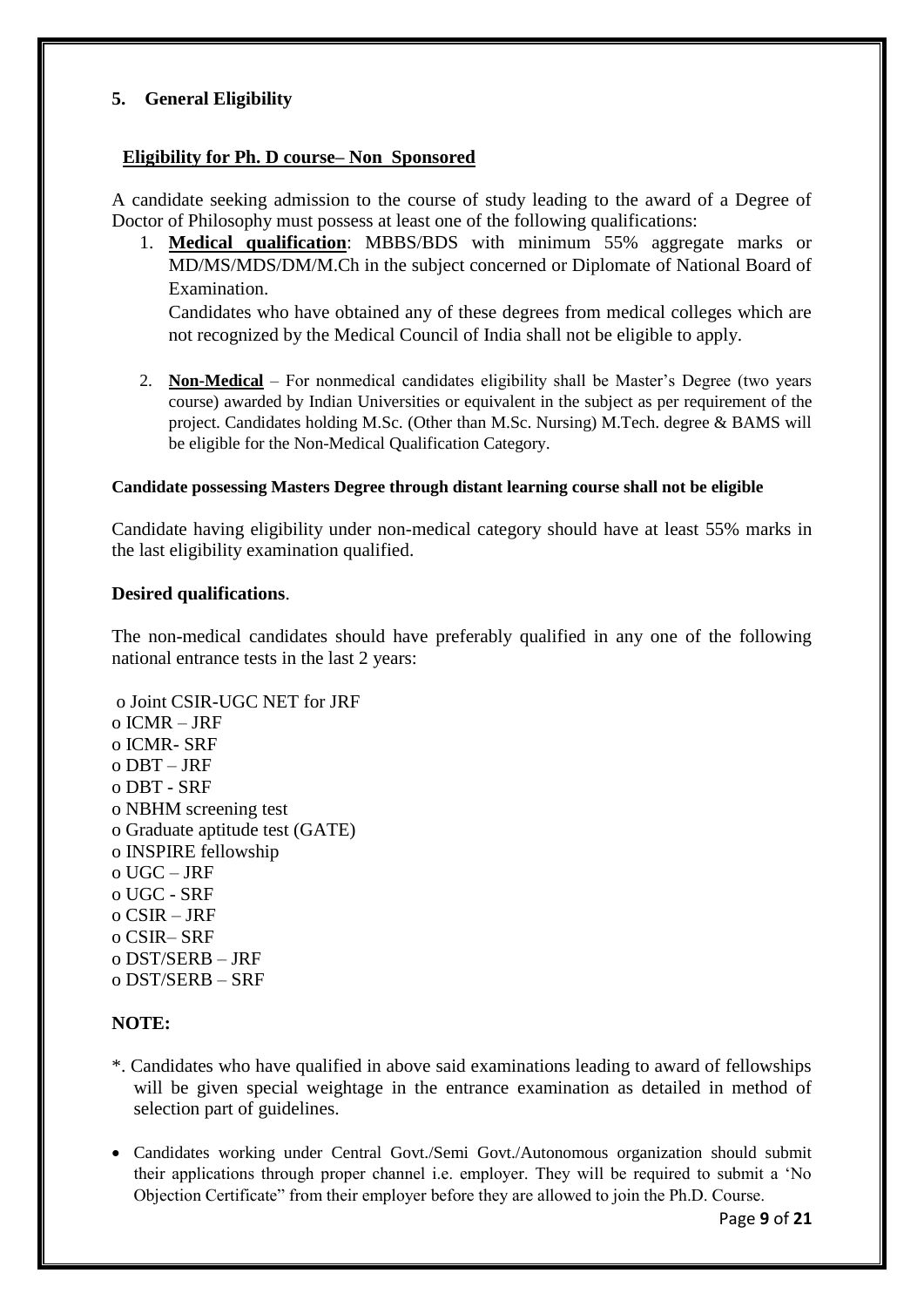# **5. General Eligibility**

# **Eligibility for Ph. D course– Non Sponsored**

A candidate seeking admission to the course of study leading to the award of a Degree of Doctor of Philosophy must possess at least one of the following qualifications:

1. **Medical qualification**: MBBS/BDS with minimum 55% aggregate marks or MD/MS/MDS/DM/M.Ch in the subject concerned or Diplomate of National Board of Examination.

Candidates who have obtained any of these degrees from medical colleges which are not recognized by the Medical Council of India shall not be eligible to apply.

2. **Non-Medical** – For nonmedical candidates eligibility shall be Master's Degree (two years course) awarded by Indian Universities or equivalent in the subject as per requirement of the project. Candidates holding M.Sc. (Other than M.Sc. Nursing) M.Tech. degree & BAMS will be eligible for the Non-Medical Qualification Category.

#### **Candidate possessing Masters Degree through distant learning course shall not be eligible**

Candidate having eligibility under non-medical category should have at least 55% marks in the last eligibility examination qualified.

#### **Desired qualifications**.

The non-medical candidates should have preferably qualified in any one of the following national entrance tests in the last 2 years:

```
o Joint CSIR-UGC NET for JRF 
o ICMR – JRF 
o ICMR- SRF 
o DBT – JRF 
o DBT - SRF 
o NBHM screening test 
o Graduate aptitude test (GATE) 
o INSPIRE fellowship 
o UGC – JRF 
o UGC - SRF 
o CSIR – JRF 
o CSIR– SRF 
o DST/SERB – JRF 
o DST/SERB – SRF
```
#### **NOTE:**

- \*. Candidates who have qualified in above said examinations leading to award of fellowships will be given special weightage in the entrance examination as detailed in method of selection part of guidelines.
- Candidates working under Central Govt./Semi Govt./Autonomous organization should submit their applications through proper channel i.e. employer. They will be required to submit a 'No Objection Certificate" from their employer before they are allowed to join the Ph.D. Course.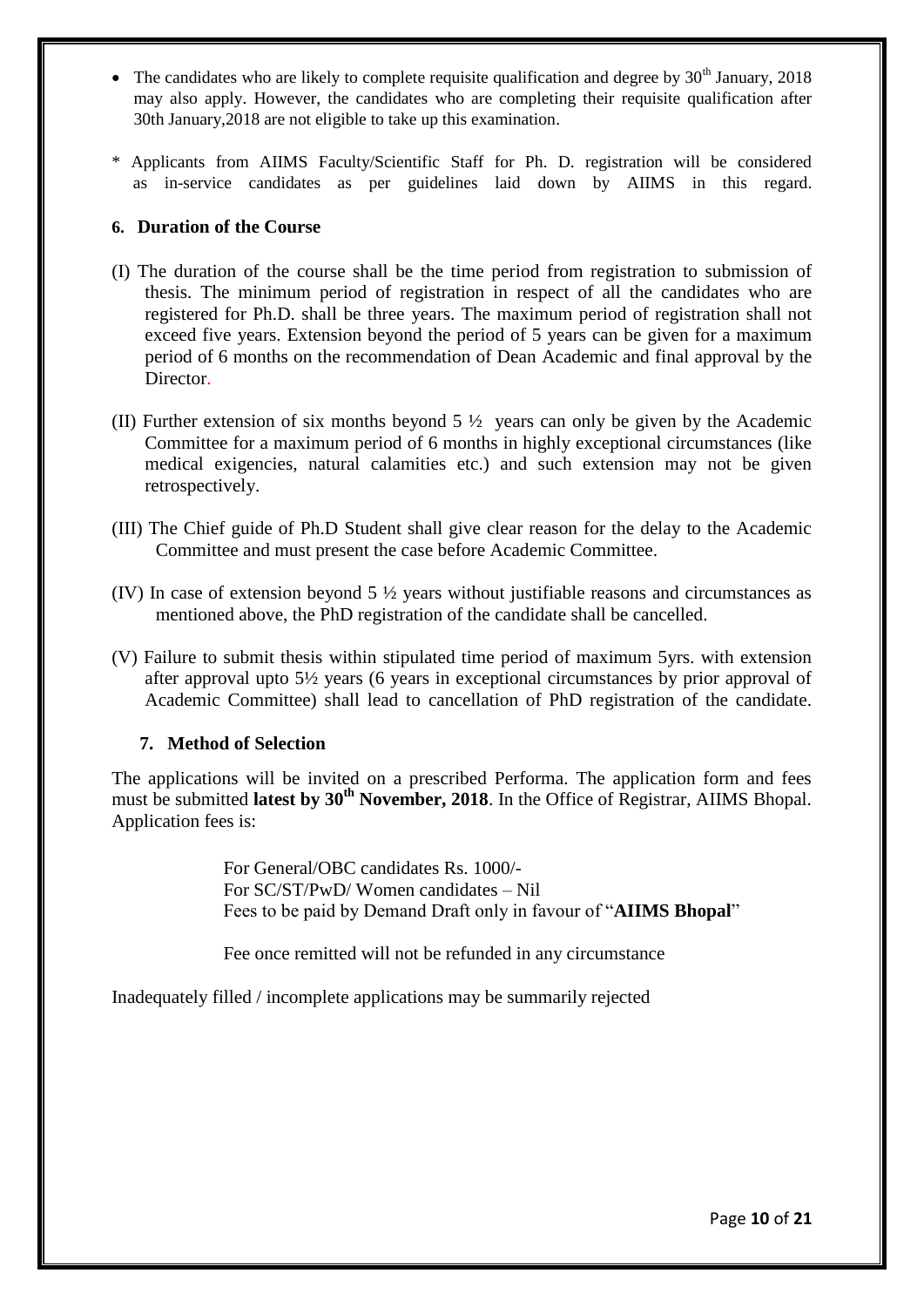- $\bullet$  The candidates who are likely to complete requisite qualification and degree by 30<sup>th</sup> January, 2018 may also apply. However, the candidates who are completing their requisite qualification after 30th January,2018 are not eligible to take up this examination.
- \* Applicants from AIIMS Faculty/Scientific Staff for Ph. D. registration will be considered as in-service candidates as per guidelines laid down by AIIMS in this regard.

## **6. Duration of the Course**

- (I) The duration of the course shall be the time period from registration to submission of thesis. The minimum period of registration in respect of all the candidates who are registered for Ph.D. shall be three years. The maximum period of registration shall not exceed five years. Extension beyond the period of 5 years can be given for a maximum period of 6 months on the recommendation of Dean Academic and final approval by the Director.
- (II) Further extension of six months beyond  $5\frac{1}{2}$  years can only be given by the Academic Committee for a maximum period of 6 months in highly exceptional circumstances (like medical exigencies, natural calamities etc.) and such extension may not be given retrospectively.
- (III) The Chief guide of Ph.D Student shall give clear reason for the delay to the Academic Committee and must present the case before Academic Committee.
- (IV) In case of extension beyond 5 ½ years without justifiable reasons and circumstances as mentioned above, the PhD registration of the candidate shall be cancelled.
- (V) Failure to submit thesis within stipulated time period of maximum 5yrs. with extension after approval upto 5½ years (6 years in exceptional circumstances by prior approval of Academic Committee) shall lead to cancellation of PhD registration of the candidate.

#### **7. Method of Selection**

The applications will be invited on a prescribed Performa. The application form and fees must be submitted **latest by 30th November, 2018**. In the Office of Registrar, AIIMS Bhopal. Application fees is:

> For General/OBC candidates Rs. 1000/- For SC/ST/PwD/ Women candidates – Nil Fees to be paid by Demand Draft only in favour of "**AIIMS Bhopal**"

Fee once remitted will not be refunded in any circumstance

Inadequately filled / incomplete applications may be summarily rejected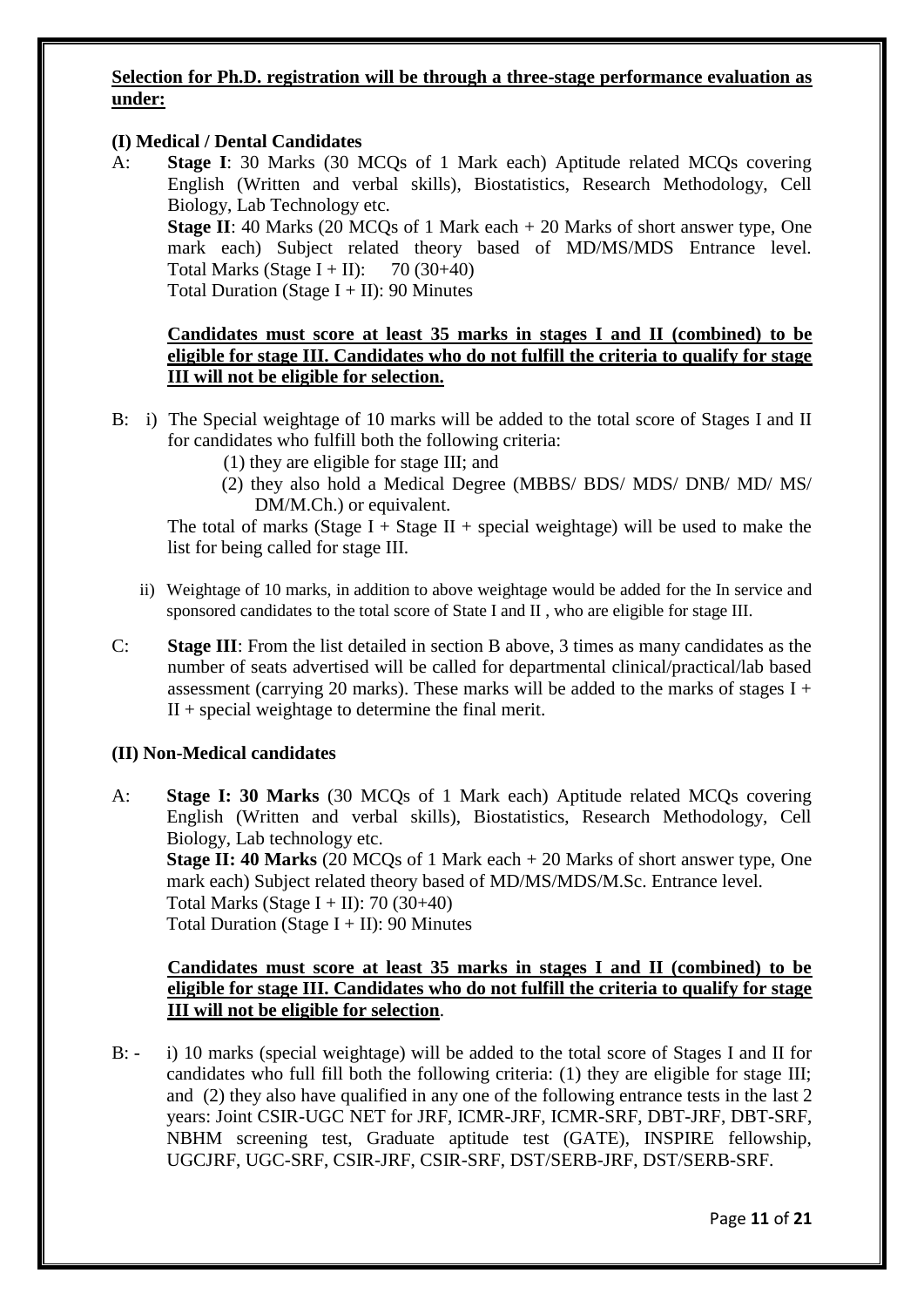## **Selection for Ph.D. registration will be through a three-stage performance evaluation as under:**

## **(I) Medical / Dental Candidates**

A: **Stage I**: 30 Marks (30 MCQs of 1 Mark each) Aptitude related MCQs covering English (Written and verbal skills), Biostatistics, Research Methodology, Cell Biology, Lab Technology etc.

**Stage II**: 40 Marks (20 MCQs of 1 Mark each + 20 Marks of short answer type, One mark each) Subject related theory based of MD/MS/MDS Entrance level. Total Marks (Stage I + II):  $70(30+40)$ Total Duration (Stage  $I + II$ ): 90 Minutes

**Candidates must score at least 35 marks in stages I and II (combined) to be eligible for stage III. Candidates who do not fulfill the criteria to qualify for stage III will not be eligible for selection.** 

- B: i) The Special weightage of 10 marks will be added to the total score of Stages I and II for candidates who fulfill both the following criteria:
	- (1) they are eligible for stage III; and
	- (2) they also hold a Medical Degree (MBBS/ BDS/ MDS/ DNB/ MD/ MS/ DM/M.Ch.) or equivalent.

The total of marks (Stage I + Stage II + special weightage) will be used to make the list for being called for stage III.

- ii) Weightage of 10 marks, in addition to above weightage would be added for the In service and sponsored candidates to the total score of State I and II , who are eligible for stage III.
- C: **Stage III**: From the list detailed in section B above, 3 times as many candidates as the number of seats advertised will be called for departmental clinical/practical/lab based assessment (carrying 20 marks). These marks will be added to the marks of stages  $I +$  $II$  + special weightage to determine the final merit.

#### **(II) Non-Medical candidates**

A: **Stage I: 30 Marks** (30 MCQs of 1 Mark each) Aptitude related MCQs covering English (Written and verbal skills), Biostatistics, Research Methodology, Cell Biology, Lab technology etc. **Stage II: 40 Marks** (20 MCQs of 1 Mark each + 20 Marks of short answer type, One mark each) Subject related theory based of MD/MS/MDS/M.Sc. Entrance level. Total Marks (Stage I + II): 70 (30+40) Total Duration (Stage  $I + II$ ): 90 Minutes

## **Candidates must score at least 35 marks in stages I and II (combined) to be eligible for stage III. Candidates who do not fulfill the criteria to qualify for stage III will not be eligible for selection**.

B: - i) 10 marks (special weightage) will be added to the total score of Stages I and II for candidates who full fill both the following criteria: (1) they are eligible for stage III; and (2) they also have qualified in any one of the following entrance tests in the last 2 years: Joint CSIR-UGC NET for JRF, ICMR-JRF, ICMR-SRF, DBT-JRF, DBT-SRF, NBHM screening test, Graduate aptitude test (GATE), INSPIRE fellowship, UGCJRF, UGC-SRF, CSIR-JRF, CSIR-SRF, DST/SERB-JRF, DST/SERB-SRF.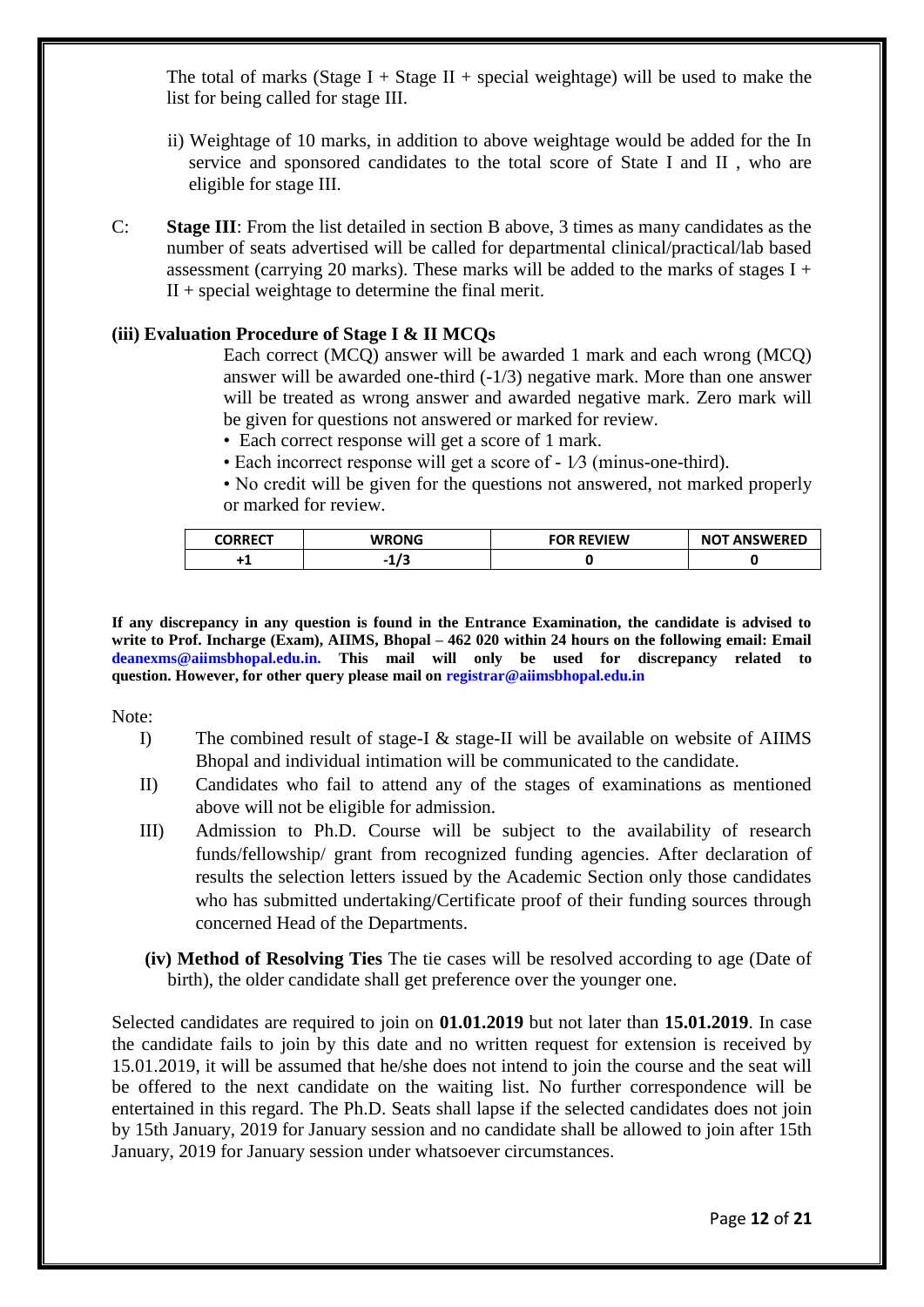The total of marks (Stage I + Stage II + special weightage) will be used to make the list for being called for stage III.

- ii) Weightage of 10 marks, in addition to above weightage would be added for the In service and sponsored candidates to the total score of State I and II , who are eligible for stage III.
- C: **Stage III**: From the list detailed in section B above, 3 times as many candidates as the number of seats advertised will be called for departmental clinical/practical/lab based assessment (carrying 20 marks). These marks will be added to the marks of stages  $I +$  $II$  + special weightage to determine the final merit.

### **(iii) Evaluation Procedure of Stage I & II MCQs**

Each correct (MCQ) answer will be awarded 1 mark and each wrong (MCQ) answer will be awarded one-third (-1/3) negative mark. More than one answer will be treated as wrong answer and awarded negative mark. Zero mark will be given for questions not answered or marked for review.

- Each correct response will get a score of 1 mark.
- Each incorrect response will get a score of 1⁄3 (minus-one-third).

• No credit will be given for the questions not answered, not marked properly or marked for review.

| <b>CORRECT</b> | <b>WRONG</b>      | <b>FOR REVIEW</b> | <b>NOT ANSWERED</b> |
|----------------|-------------------|-------------------|---------------------|
|                | $\sqrt{2}$<br>. . |                   |                     |

**If any discrepancy in any question is found in the Entrance Examination, the candidate is advised to write to Prof. Incharge (Exam), AIIMS, Bhopal – 462 020 within 24 hours on the following email: Email deanexms@aiimsbhopal.edu.in. This mail will only be used for discrepancy related to question. However, for other query please mail on registrar@aiimsbhopal.edu.in**

Note:

- I) The combined result of stage-I & stage-II will be available on website of AIIMS Bhopal and individual intimation will be communicated to the candidate.
- II) Candidates who fail to attend any of the stages of examinations as mentioned above will not be eligible for admission.
- III) Admission to Ph.D. Course will be subject to the availability of research funds/fellowship/ grant from recognized funding agencies. After declaration of results the selection letters issued by the Academic Section only those candidates who has submitted undertaking/Certificate proof of their funding sources through concerned Head of the Departments.
- **(iv) Method of Resolving Ties** The tie cases will be resolved according to age (Date of birth), the older candidate shall get preference over the younger one.

Selected candidates are required to join on **01.01.2019** but not later than **15.01.2019**. In case the candidate fails to join by this date and no written request for extension is received by 15.01.2019, it will be assumed that he/she does not intend to join the course and the seat will be offered to the next candidate on the waiting list. No further correspondence will be entertained in this regard. The Ph.D. Seats shall lapse if the selected candidates does not join by 15th January, 2019 for January session and no candidate shall be allowed to join after 15th January, 2019 for January session under whatsoever circumstances.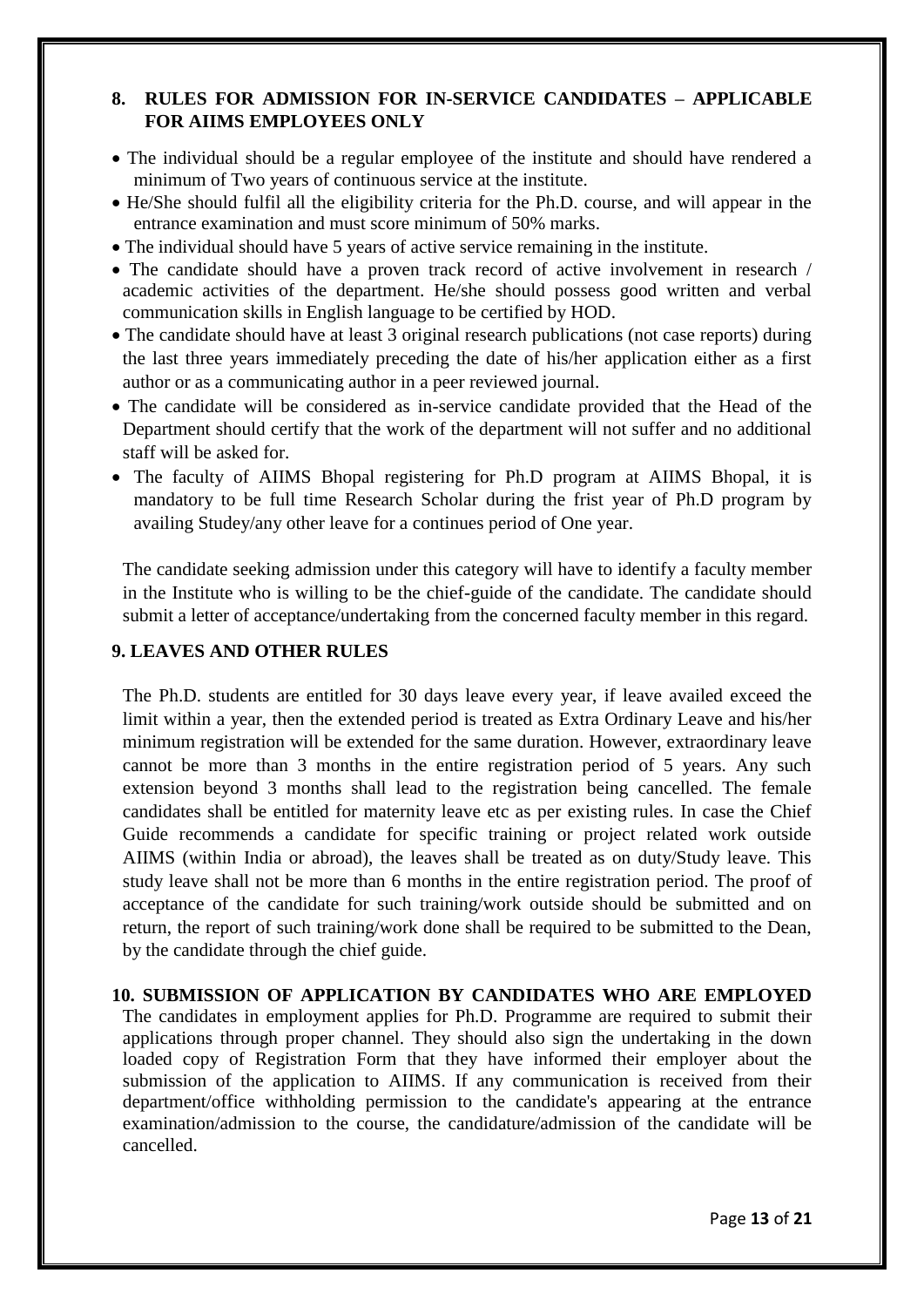# **8. RULES FOR ADMISSION FOR IN-SERVICE CANDIDATES – APPLICABLE FOR AIIMS EMPLOYEES ONLY**

- The individual should be a regular employee of the institute and should have rendered a minimum of Two years of continuous service at the institute.
- He/She should fulfil all the eligibility criteria for the Ph.D. course, and will appear in the entrance examination and must score minimum of 50% marks.
- The individual should have 5 years of active service remaining in the institute.
- The candidate should have a proven track record of active involvement in research / academic activities of the department. He/she should possess good written and verbal communication skills in English language to be certified by HOD.
- The candidate should have at least 3 original research publications (not case reports) during the last three years immediately preceding the date of his/her application either as a first author or as a communicating author in a peer reviewed journal.
- The candidate will be considered as in-service candidate provided that the Head of the Department should certify that the work of the department will not suffer and no additional staff will be asked for.
- The faculty of AIIMS Bhopal registering for Ph.D program at AIIMS Bhopal, it is mandatory to be full time Research Scholar during the frist year of Ph.D program by availing Studey/any other leave for a continues period of One year.

The candidate seeking admission under this category will have to identify a faculty member in the Institute who is willing to be the chief-guide of the candidate. The candidate should submit a letter of acceptance/undertaking from the concerned faculty member in this regard.

# **9. LEAVES AND OTHER RULES**

The Ph.D. students are entitled for 30 days leave every year, if leave availed exceed the limit within a year, then the extended period is treated as Extra Ordinary Leave and his/her minimum registration will be extended for the same duration. However, extraordinary leave cannot be more than 3 months in the entire registration period of 5 years. Any such extension beyond 3 months shall lead to the registration being cancelled. The female candidates shall be entitled for maternity leave etc as per existing rules. In case the Chief Guide recommends a candidate for specific training or project related work outside AIIMS (within India or abroad), the leaves shall be treated as on duty/Study leave. This study leave shall not be more than 6 months in the entire registration period. The proof of acceptance of the candidate for such training/work outside should be submitted and on return, the report of such training/work done shall be required to be submitted to the Dean, by the candidate through the chief guide.

#### **10. SUBMISSION OF APPLICATION BY CANDIDATES WHO ARE EMPLOYED**

The candidates in employment applies for Ph.D. Programme are required to submit their applications through proper channel. They should also sign the undertaking in the down loaded copy of Registration Form that they have informed their employer about the submission of the application to AIIMS. If any communication is received from their department/office withholding permission to the candidate's appearing at the entrance examination/admission to the course, the candidature/admission of the candidate will be cancelled.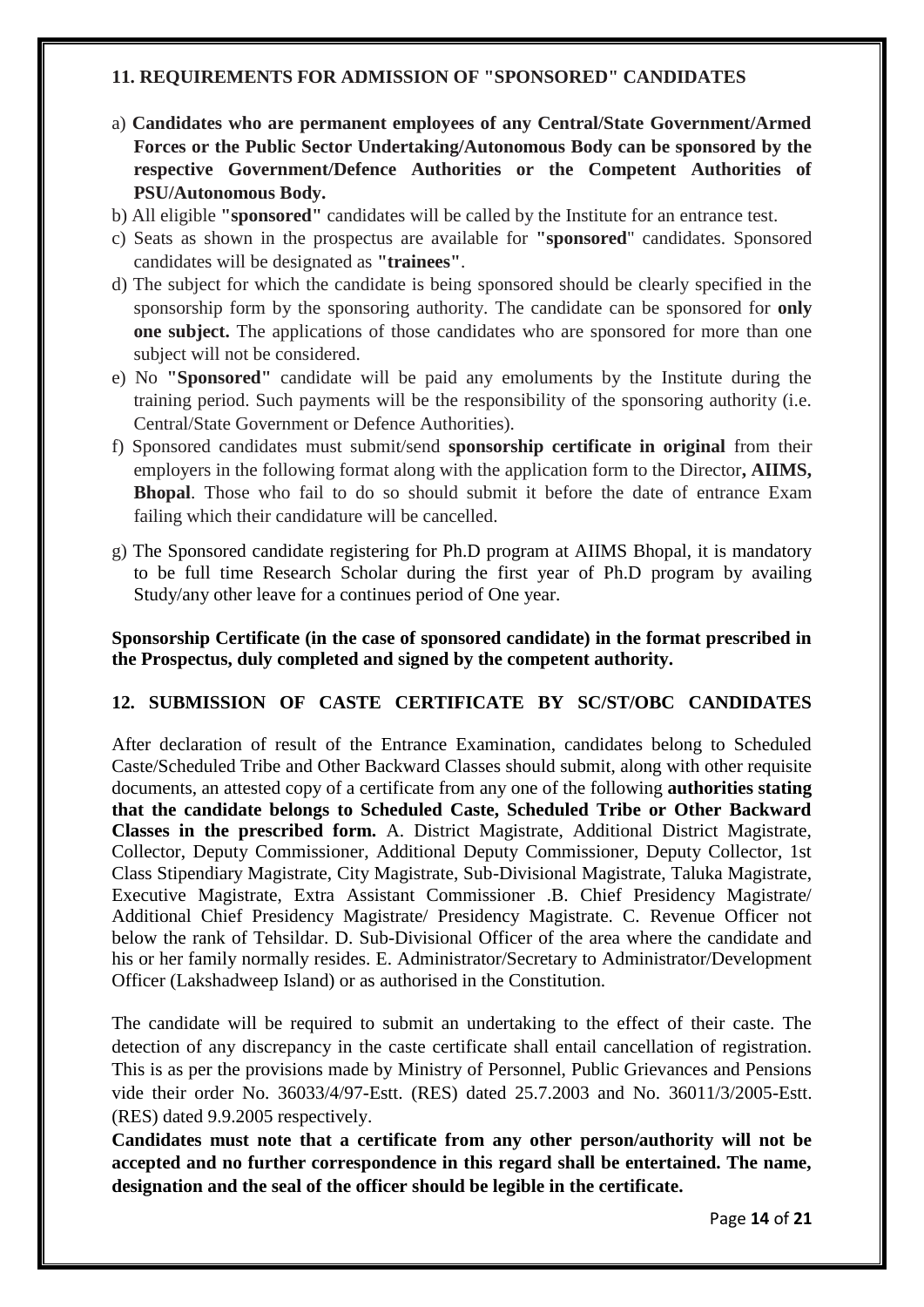#### **11. REQUIREMENTS FOR ADMISSION OF "SPONSORED" CANDIDATES**

- a) **Candidates who are permanent employees of any Central/State Government/Armed Forces or the Public Sector Undertaking/Autonomous Body can be sponsored by the respective Government/Defence Authorities or the Competent Authorities of PSU/Autonomous Body.**
- b) All eligible **"sponsored"** candidates will be called by the Institute for an entrance test.
- c) Seats as shown in the prospectus are available for **"sponsored**" candidates. Sponsored candidates will be designated as **"trainees"**.
- d) The subject for which the candidate is being sponsored should be clearly specified in the sponsorship form by the sponsoring authority. The candidate can be sponsored for **only one subject.** The applications of those candidates who are sponsored for more than one subject will not be considered.
- e) No **"Sponsored"** candidate will be paid any emoluments by the Institute during the training period. Such payments will be the responsibility of the sponsoring authority (i.e. Central/State Government or Defence Authorities).
- f) Sponsored candidates must submit/send **sponsorship certificate in original** from their employers in the following format along with the application form to the Director**, AIIMS, Bhopal**. Those who fail to do so should submit it before the date of entrance Exam failing which their candidature will be cancelled.
- g) The Sponsored candidate registering for Ph.D program at AIIMS Bhopal, it is mandatory to be full time Research Scholar during the first year of Ph.D program by availing Study/any other leave for a continues period of One year.

## **Sponsorship Certificate (in the case of sponsored candidate) in the format prescribed in the Prospectus, duly completed and signed by the competent authority.**

#### **12. SUBMISSION OF CASTE CERTIFICATE BY SC/ST/OBC CANDIDATES**

After declaration of result of the Entrance Examination, candidates belong to Scheduled Caste/Scheduled Tribe and Other Backward Classes should submit, along with other requisite documents, an attested copy of a certificate from any one of the following **authorities stating that the candidate belongs to Scheduled Caste, Scheduled Tribe or Other Backward Classes in the prescribed form.** A. District Magistrate, Additional District Magistrate, Collector, Deputy Commissioner, Additional Deputy Commissioner, Deputy Collector, 1st Class Stipendiary Magistrate, City Magistrate, Sub-Divisional Magistrate, Taluka Magistrate, Executive Magistrate, Extra Assistant Commissioner .B. Chief Presidency Magistrate/ Additional Chief Presidency Magistrate/ Presidency Magistrate. C. Revenue Officer not below the rank of Tehsildar. D. Sub-Divisional Officer of the area where the candidate and his or her family normally resides. E. Administrator/Secretary to Administrator/Development Officer (Lakshadweep Island) or as authorised in the Constitution.

The candidate will be required to submit an undertaking to the effect of their caste. The detection of any discrepancy in the caste certificate shall entail cancellation of registration. This is as per the provisions made by Ministry of Personnel, Public Grievances and Pensions vide their order No. 36033/4/97-Estt. (RES) dated 25.7.2003 and No. 36011/3/2005-Estt. (RES) dated 9.9.2005 respectively.

**Candidates must note that a certificate from any other person/authority will not be accepted and no further correspondence in this regard shall be entertained. The name, designation and the seal of the officer should be legible in the certificate.**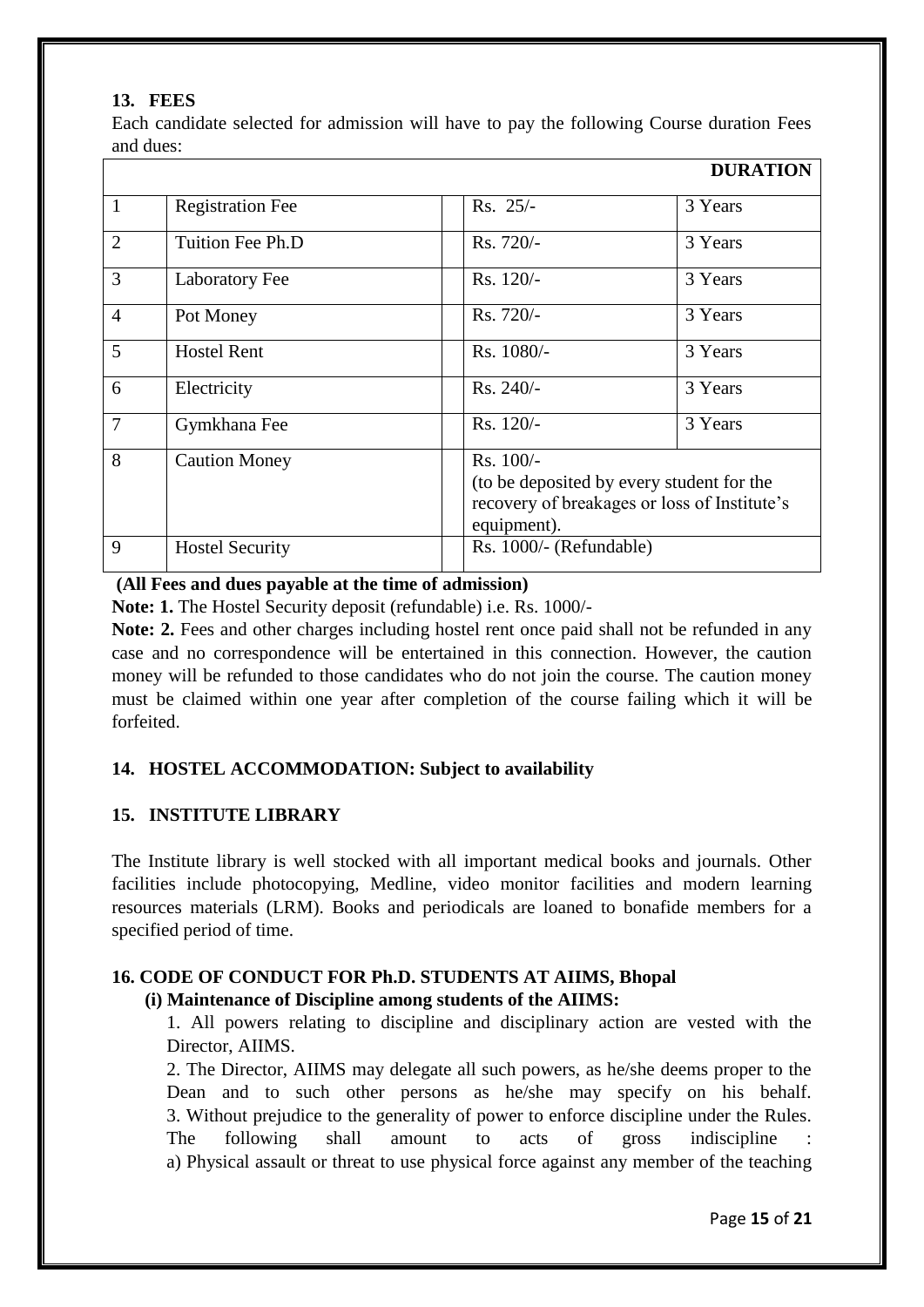## **13. FEES**

Each candidate selected for admission will have to pay the following Course duration Fees and dues:

|                |                         |                            | <b>DURATION</b>                                                                           |
|----------------|-------------------------|----------------------------|-------------------------------------------------------------------------------------------|
| $\mathbf{1}$   | <b>Registration Fee</b> | $Rs. 25/-$                 | 3 Years                                                                                   |
| $\overline{2}$ | Tuition Fee Ph.D        | Rs. 720/-                  | 3 Years                                                                                   |
| 3              | <b>Laboratory Fee</b>   | $Rs. 120/-$                | 3 Years                                                                                   |
| $\overline{4}$ | Pot Money               | Rs. 720/-                  | 3 Years                                                                                   |
| 5              | <b>Hostel Rent</b>      | Rs. 1080/-                 | 3 Years                                                                                   |
| 6              | Electricity             | $Rs. 240/-$                | 3 Years                                                                                   |
| $\overline{7}$ | Gymkhana Fee            | $Rs. 120/-$                | 3 Years                                                                                   |
| 8              | <b>Caution Money</b>    | $Rs. 100/-$<br>equipment). | (to be deposited by every student for the<br>recovery of breakages or loss of Institute's |
| 9              | <b>Hostel Security</b>  | Rs. 1000/- (Refundable)    |                                                                                           |

## **(All Fees and dues payable at the time of admission)**

**Note: 1.** The Hostel Security deposit (refundable) i.e. Rs. 1000/-

Note: 2. Fees and other charges including hostel rent once paid shall not be refunded in any case and no correspondence will be entertained in this connection. However, the caution money will be refunded to those candidates who do not join the course. The caution money must be claimed within one year after completion of the course failing which it will be forfeited.

# **14. HOSTEL ACCOMMODATION: Subject to availability**

# **15. INSTITUTE LIBRARY**

The Institute library is well stocked with all important medical books and journals. Other facilities include photocopying, Medline, video monitor facilities and modern learning resources materials (LRM). Books and periodicals are loaned to bonafide members for a specified period of time.

#### **16. CODE OF CONDUCT FOR Ph.D. STUDENTS AT AIIMS, Bhopal (i) Maintenance of Discipline among students of the AIIMS:**

1. All powers relating to discipline and disciplinary action are vested with the Director, AIIMS.

2. The Director, AIIMS may delegate all such powers, as he/she deems proper to the Dean and to such other persons as he/she may specify on his behalf. 3. Without prejudice to the generality of power to enforce discipline under the Rules. The following shall amount to acts of gross indiscipline : a) Physical assault or threat to use physical force against any member of the teaching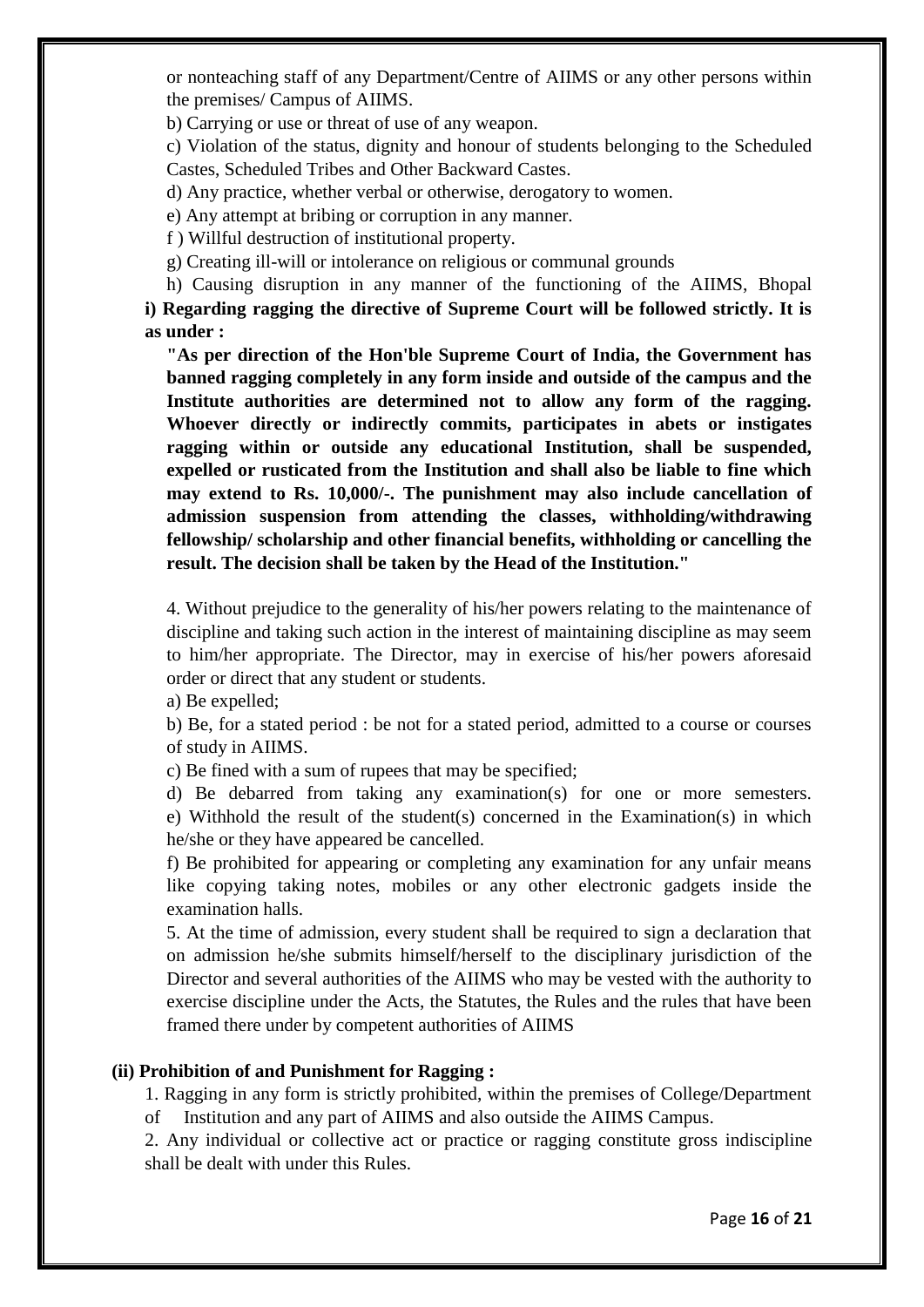or nonteaching staff of any Department/Centre of AIIMS or any other persons within the premises/ Campus of AIIMS.

b) Carrying or use or threat of use of any weapon.

c) Violation of the status, dignity and honour of students belonging to the Scheduled Castes, Scheduled Tribes and Other Backward Castes.

d) Any practice, whether verbal or otherwise, derogatory to women.

e) Any attempt at bribing or corruption in any manner.

f ) Willful destruction of institutional property.

g) Creating ill-will or intolerance on religious or communal grounds

h) Causing disruption in any manner of the functioning of the AIIMS, Bhopal **i) Regarding ragging the directive of Supreme Court will be followed strictly. It is as under :**

**"As per direction of the Hon'ble Supreme Court of India, the Government has banned ragging completely in any form inside and outside of the campus and the Institute authorities are determined not to allow any form of the ragging. Whoever directly or indirectly commits, participates in abets or instigates ragging within or outside any educational Institution, shall be suspended, expelled or rusticated from the Institution and shall also be liable to fine which may extend to Rs. 10,000/-. The punishment may also include cancellation of admission suspension from attending the classes, withholding/withdrawing fellowship/ scholarship and other financial benefits, withholding or cancelling the result. The decision shall be taken by the Head of the Institution."**

4. Without prejudice to the generality of his/her powers relating to the maintenance of discipline and taking such action in the interest of maintaining discipline as may seem to him/her appropriate. The Director, may in exercise of his/her powers aforesaid order or direct that any student or students.

a) Be expelled;

b) Be, for a stated period : be not for a stated period, admitted to a course or courses of study in AIIMS.

c) Be fined with a sum of rupees that may be specified;

d) Be debarred from taking any examination(s) for one or more semesters. e) Withhold the result of the student(s) concerned in the Examination(s) in which he/she or they have appeared be cancelled.

f) Be prohibited for appearing or completing any examination for any unfair means like copying taking notes, mobiles or any other electronic gadgets inside the examination halls.

5. At the time of admission, every student shall be required to sign a declaration that on admission he/she submits himself/herself to the disciplinary jurisdiction of the Director and several authorities of the AIIMS who may be vested with the authority to exercise discipline under the Acts, the Statutes, the Rules and the rules that have been framed there under by competent authorities of AIIMS

#### **(ii) Prohibition of and Punishment for Ragging :**

1. Ragging in any form is strictly prohibited, within the premises of College/Department of Institution and any part of AIIMS and also outside the AIIMS Campus.

2. Any individual or collective act or practice or ragging constitute gross indiscipline shall be dealt with under this Rules.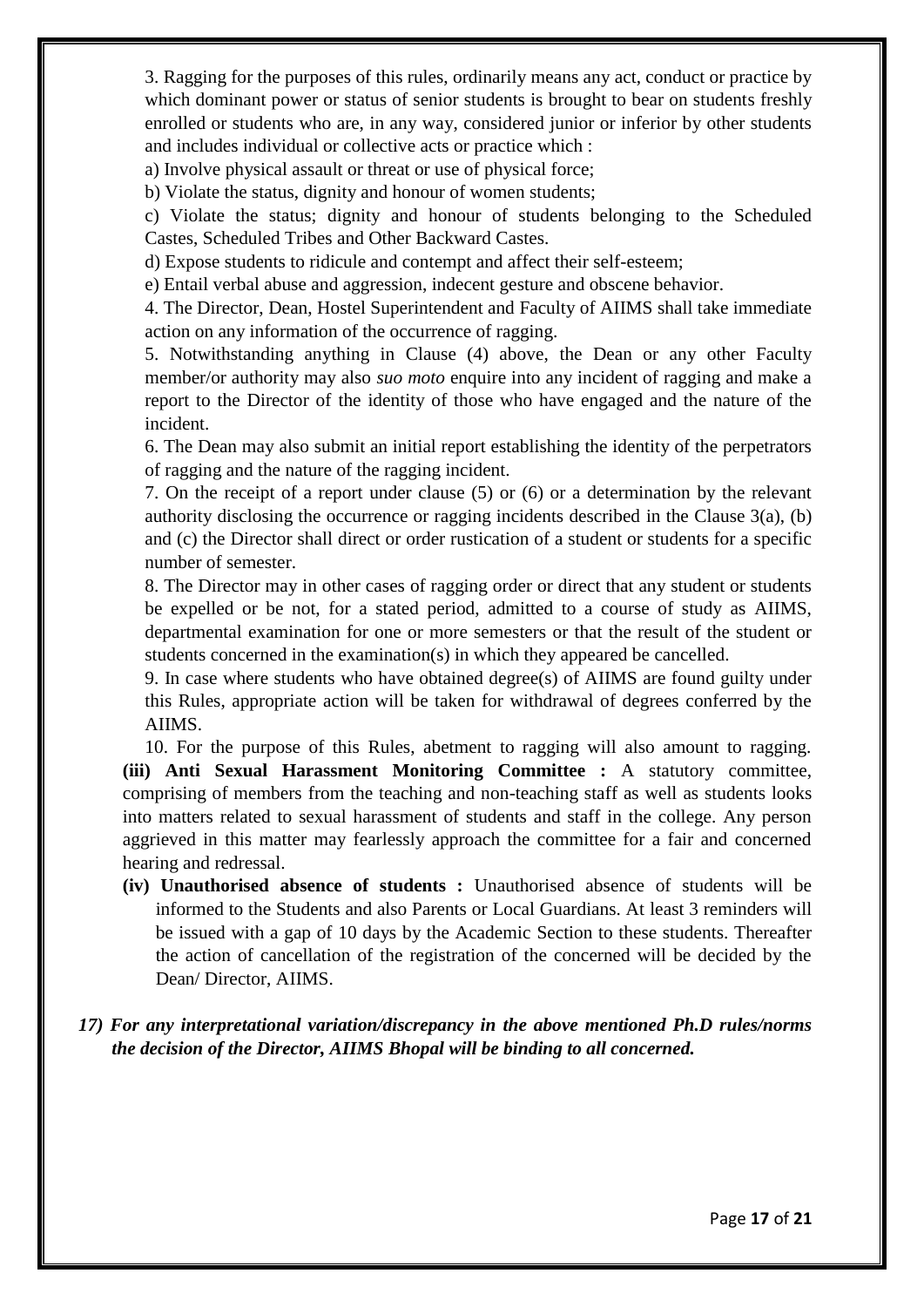3. Ragging for the purposes of this rules, ordinarily means any act, conduct or practice by which dominant power or status of senior students is brought to bear on students freshly enrolled or students who are, in any way, considered junior or inferior by other students and includes individual or collective acts or practice which :

a) Involve physical assault or threat or use of physical force;

b) Violate the status, dignity and honour of women students;

c) Violate the status; dignity and honour of students belonging to the Scheduled Castes, Scheduled Tribes and Other Backward Castes.

d) Expose students to ridicule and contempt and affect their self-esteem;

e) Entail verbal abuse and aggression, indecent gesture and obscene behavior.

4. The Director, Dean, Hostel Superintendent and Faculty of AIIMS shall take immediate action on any information of the occurrence of ragging.

5. Notwithstanding anything in Clause (4) above, the Dean or any other Faculty member/or authority may also *suo moto* enquire into any incident of ragging and make a report to the Director of the identity of those who have engaged and the nature of the incident.

6. The Dean may also submit an initial report establishing the identity of the perpetrators of ragging and the nature of the ragging incident.

7. On the receipt of a report under clause (5) or (6) or a determination by the relevant authority disclosing the occurrence or ragging incidents described in the Clause 3(a), (b) and (c) the Director shall direct or order rustication of a student or students for a specific number of semester.

8. The Director may in other cases of ragging order or direct that any student or students be expelled or be not, for a stated period, admitted to a course of study as AIIMS, departmental examination for one or more semesters or that the result of the student or students concerned in the examination(s) in which they appeared be cancelled.

9. In case where students who have obtained degree(s) of AIIMS are found guilty under this Rules, appropriate action will be taken for withdrawal of degrees conferred by the AIIMS.

10. For the purpose of this Rules, abetment to ragging will also amount to ragging. **(iii) Anti Sexual Harassment Monitoring Committee :** A statutory committee, comprising of members from the teaching and non-teaching staff as well as students looks into matters related to sexual harassment of students and staff in the college. Any person aggrieved in this matter may fearlessly approach the committee for a fair and concerned hearing and redressal.

**(iv) Unauthorised absence of students :** Unauthorised absence of students will be informed to the Students and also Parents or Local Guardians. At least 3 reminders will be issued with a gap of 10 days by the Academic Section to these students. Thereafter the action of cancellation of the registration of the concerned will be decided by the Dean/ Director, AIIMS.

# *17) For any interpretational variation/discrepancy in the above mentioned Ph.D rules/norms the decision of the Director, AIIMS Bhopal will be binding to all concerned.*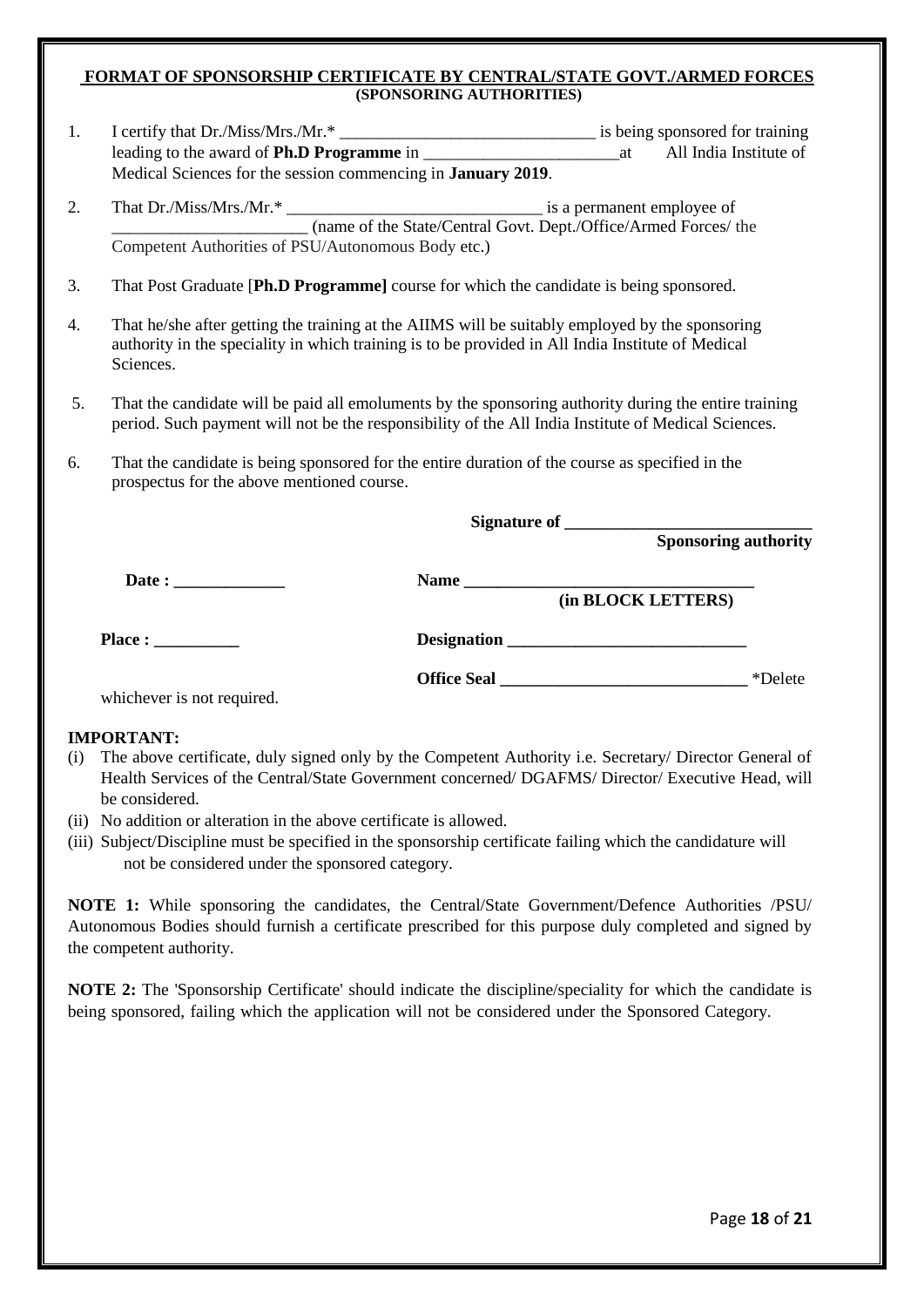#### **FORMAT OF SPONSORSHIP CERTIFICATE BY CENTRAL/STATE GOVT./ARMED FORCES (SPONSORING AUTHORITIES)**

| 1. | Medical Sciences for the session commencing in <b>January 2019</b> .                                                                                                                                              |             |                             |  |  |
|----|-------------------------------------------------------------------------------------------------------------------------------------------------------------------------------------------------------------------|-------------|-----------------------------|--|--|
| 2. | (name of the State/Central Govt. Dept./Office/Armed Forces/ the<br>Competent Authorities of PSU/Autonomous Body etc.)                                                                                             |             |                             |  |  |
| 3. | That Post Graduate [Ph.D Programme] course for which the candidate is being sponsored.                                                                                                                            |             |                             |  |  |
| 4. | That he/she after getting the training at the AIIMS will be suitably employed by the sponsoring<br>authority in the speciality in which training is to be provided in All India Institute of Medical<br>Sciences. |             |                             |  |  |
| 5. | That the candidate will be paid all emoluments by the sponsoring authority during the entire training<br>period. Such payment will not be the responsibility of the All India Institute of Medical Sciences.      |             |                             |  |  |
| 6. | That the candidate is being sponsored for the entire duration of the course as specified in the<br>prospectus for the above mentioned course.                                                                     |             |                             |  |  |
|    |                                                                                                                                                                                                                   |             |                             |  |  |
|    |                                                                                                                                                                                                                   |             | <b>Sponsoring authority</b> |  |  |
|    | Date : $\qquad \qquad$                                                                                                                                                                                            |             |                             |  |  |
|    | Place :                                                                                                                                                                                                           | Designation |                             |  |  |
|    | whichever is not required.                                                                                                                                                                                        |             | *Delete                     |  |  |

#### **IMPORTANT:**

- (i) The above certificate, duly signed only by the Competent Authority i.e. Secretary/ Director General of Health Services of the Central/State Government concerned/ DGAFMS/ Director/ Executive Head, will be considered.
- (ii) No addition or alteration in the above certificate is allowed.
- (iii) Subject/Discipline must be specified in the sponsorship certificate failing which the candidature will not be considered under the sponsored category.

**NOTE 1:** While sponsoring the candidates, the Central/State Government/Defence Authorities /PSU/ Autonomous Bodies should furnish a certificate prescribed for this purpose duly completed and signed by the competent authority.

**NOTE 2:** The 'Sponsorship Certificate' should indicate the discipline/speciality for which the candidate is being sponsored, failing which the application will not be considered under the Sponsored Category.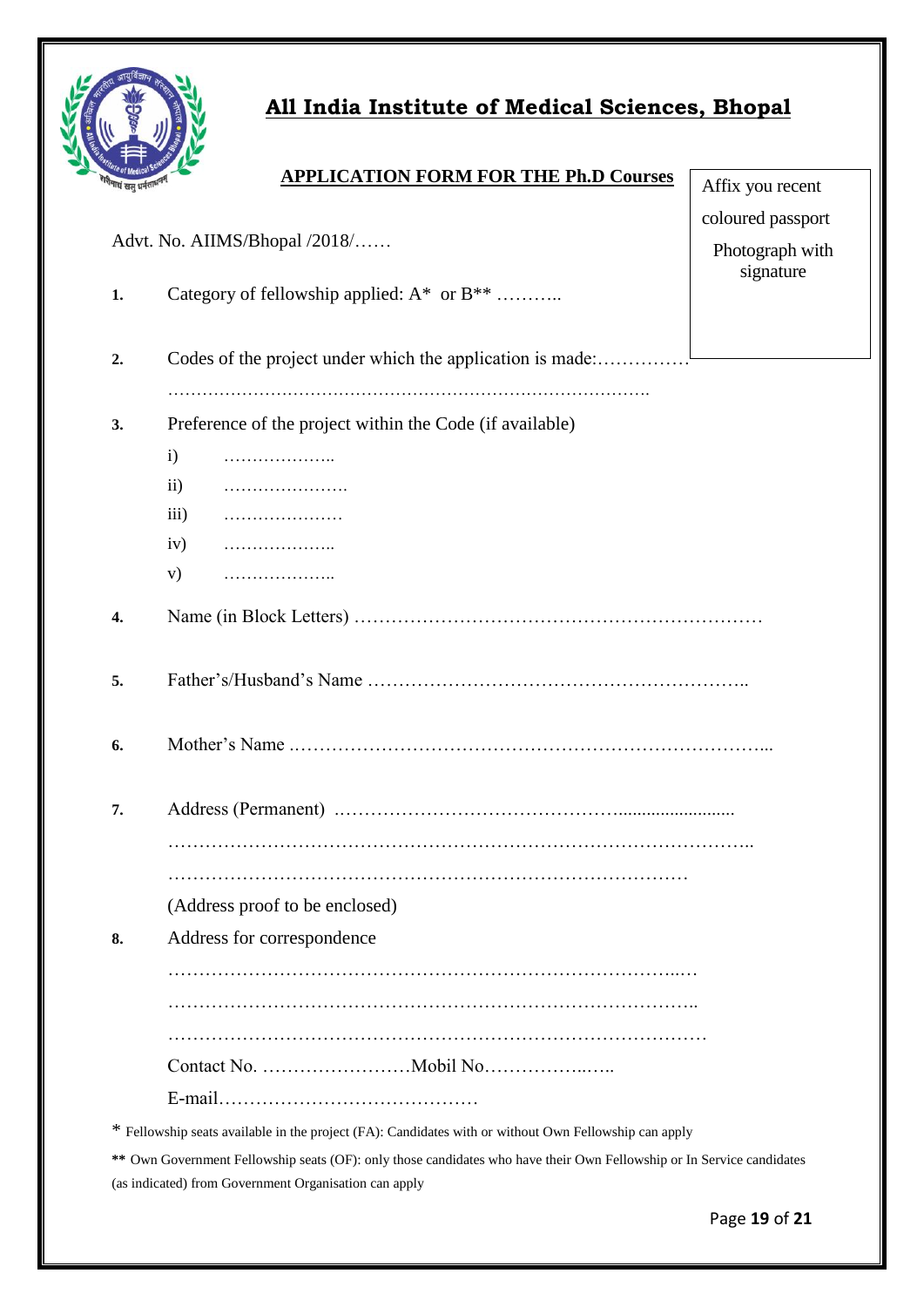

# **All India Institute of Medical Sciences, Bhopal**

| Advt. No. AIIMS/Bhopal /2018/ | coloured passport  |                                                                                                       |  |
|-------------------------------|--------------------|-------------------------------------------------------------------------------------------------------|--|
|                               |                    | Photograph with<br>signature                                                                          |  |
| 1.                            |                    | Category of fellowship applied: A* or B**                                                             |  |
|                               |                    |                                                                                                       |  |
| 2.                            |                    | Codes of the project under which the application is made:                                             |  |
|                               |                    |                                                                                                       |  |
| 3.                            |                    | Preference of the project within the Code (if available)                                              |  |
|                               | $\mathbf{i}$       | .                                                                                                     |  |
|                               | $\rm ii)$          |                                                                                                       |  |
|                               | $\overline{111}$ ) |                                                                                                       |  |
|                               | iv)                | .                                                                                                     |  |
|                               | V)                 | .                                                                                                     |  |
| 4.                            |                    |                                                                                                       |  |
| 5.                            |                    |                                                                                                       |  |
| 6.                            |                    |                                                                                                       |  |
| 7.                            |                    |                                                                                                       |  |
|                               |                    |                                                                                                       |  |
|                               |                    |                                                                                                       |  |
|                               |                    | (Address proof to be enclosed)                                                                        |  |
| 8.                            |                    | Address for correspondence                                                                            |  |
|                               |                    |                                                                                                       |  |
|                               |                    |                                                                                                       |  |
|                               |                    |                                                                                                       |  |
|                               |                    |                                                                                                       |  |
|                               |                    |                                                                                                       |  |
|                               |                    | * Fellowship seats available in the project (FA): Candidates with or without Own Fellowship can apply |  |

**\*\*** Own Government Fellowship seats (OF): only those candidates who have their Own Fellowship or In Service candidates (as indicated) from Government Organisation can apply

Affix you recent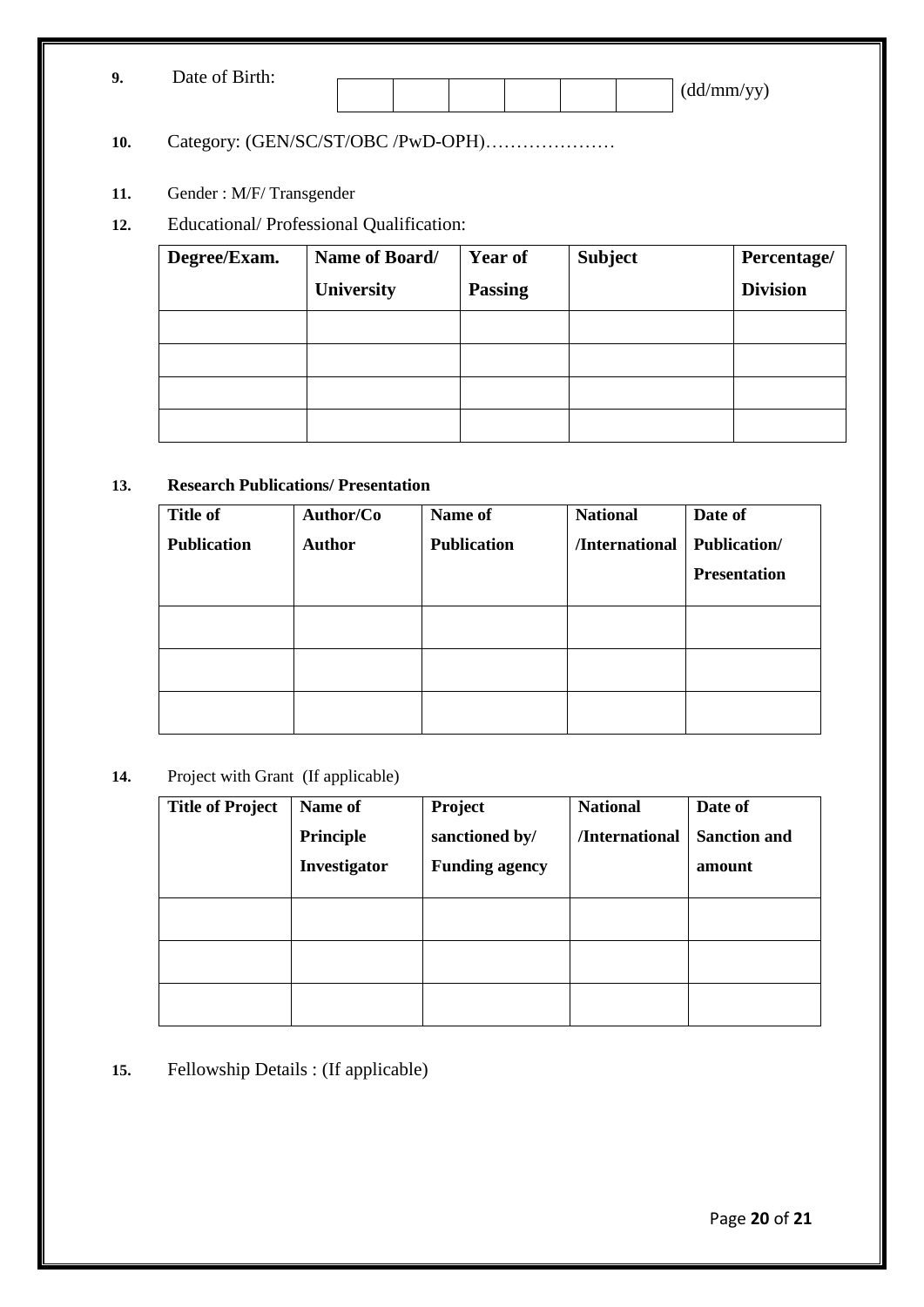| $\mathbf{o}$ | Date of Birth: |  |  |  |            |
|--------------|----------------|--|--|--|------------|
|              |                |  |  |  | (dd/mm/yy) |

# **10.** Category: (GEN/SC/ST/OBC /PwD-OPH)…………………

# **11.** Gender : M/F/ Transgender

**12.** Educational/ Professional Qualification:

| Degree/Exam. | Name of Board/ | <b>Year of</b> | <b>Subject</b> | Percentage/     |
|--------------|----------------|----------------|----------------|-----------------|
|              | University     | <b>Passing</b> |                | <b>Division</b> |
|              |                |                |                |                 |
|              |                |                |                |                 |
|              |                |                |                |                 |
|              |                |                |                |                 |

## **13. Research Publications/ Presentation**

| <b>Title of</b>    | Author/Co     | Name of            | <b>National</b> | Date of             |
|--------------------|---------------|--------------------|-----------------|---------------------|
| <b>Publication</b> | <b>Author</b> | <b>Publication</b> | /International  | <b>Publication/</b> |
|                    |               |                    |                 | <b>Presentation</b> |
|                    |               |                    |                 |                     |
|                    |               |                    |                 |                     |
|                    |               |                    |                 |                     |
|                    |               |                    |                 |                     |
|                    |               |                    |                 |                     |

#### **14.** Project with Grant (If applicable)

| <b>Title of Project</b> | Name of<br>Principle<br>Investigator | Project<br>sanctioned by/<br><b>Funding agency</b> | <b>National</b><br>/International | Date of<br><b>Sanction and</b><br>amount |
|-------------------------|--------------------------------------|----------------------------------------------------|-----------------------------------|------------------------------------------|
|                         |                                      |                                                    |                                   |                                          |
|                         |                                      |                                                    |                                   |                                          |
|                         |                                      |                                                    |                                   |                                          |

**15.** Fellowship Details : (If applicable)